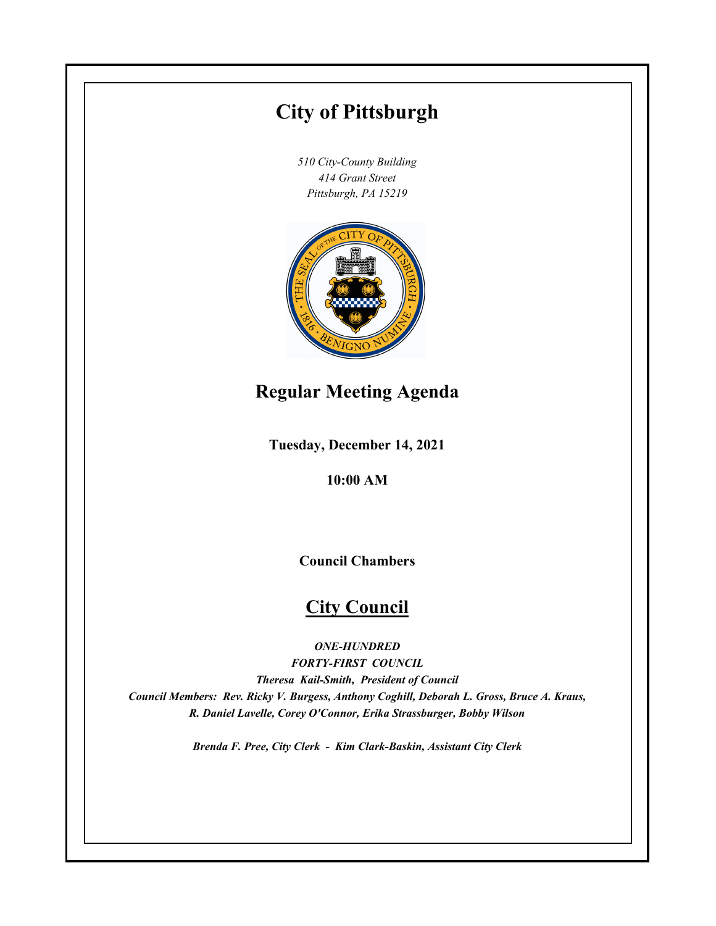# **City of Pittsburgh**

*510 City-County Building 414 Grant Street Pittsburgh, PA 15219*



## **Regular Meeting Agenda**

**Tuesday, December 14, 2021**

**10:00 AM**

**Council Chambers**

## **City Council**

*ONE-HUNDRED*

*FORTY-FIRST COUNCIL Theresa Kail-Smith, President of Council Council Members: Rev. Ricky V. Burgess, Anthony Coghill, Deborah L. Gross, Bruce A. Kraus, R. Daniel Lavelle, Corey O'Connor, Erika Strassburger, Bobby Wilson*

*Brenda F. Pree, City Clerk - Kim Clark-Baskin, Assistant City Clerk*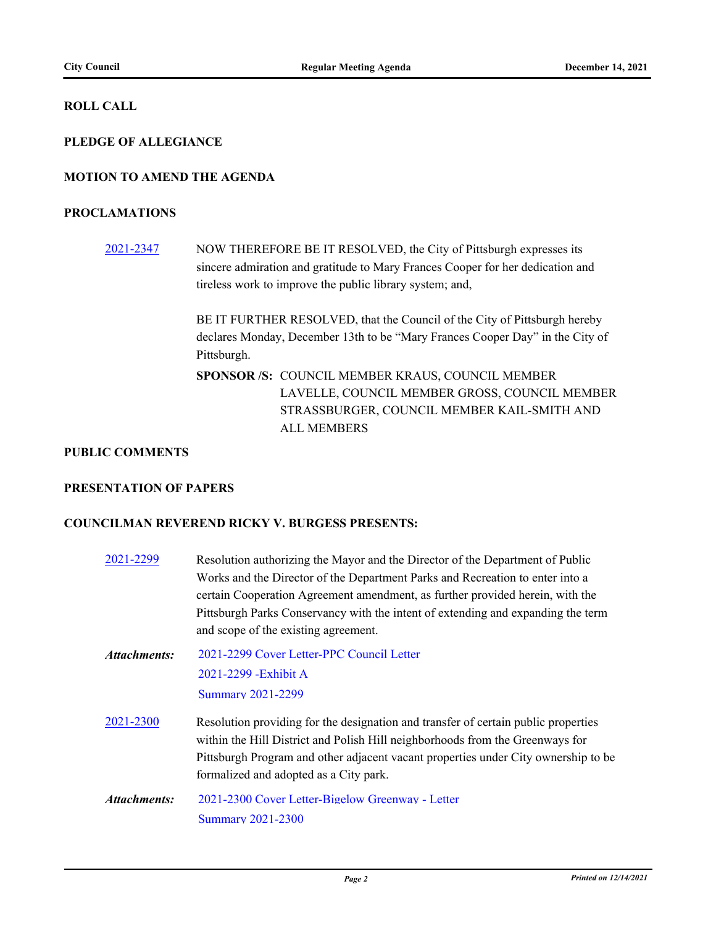#### **ROLL CALL**

#### **PLEDGE OF ALLEGIANCE**

#### **MOTION TO AMEND THE AGENDA**

#### **PROCLAMATIONS**

[2021-2347](http://pittsburgh.legistar.com/gateway.aspx?m=l&id=/matter.aspx?key=27250) NOW THEREFORE BE IT RESOLVED, the City of Pittsburgh expresses its sincere admiration and gratitude to Mary Frances Cooper for her dedication and tireless work to improve the public library system; and,

> BE IT FURTHER RESOLVED, that the Council of the City of Pittsburgh hereby declares Monday, December 13th to be "Mary Frances Cooper Day" in the City of Pittsburgh.

SPONSOR /S: COUNCIL MEMBER KRAUS, COUNCIL MEMBER LAVELLE, COUNCIL MEMBER GROSS, COUNCIL MEMBER STRASSBURGER, COUNCIL MEMBER KAIL-SMITH AND ALL MEMBERS

#### **PUBLIC COMMENTS**

#### **PRESENTATION OF PAPERS**

#### **COUNCILMAN REVEREND RICKY V. BURGESS PRESENTS:**

| 2021-2299    | Resolution authorizing the Mayor and the Director of the Department of Public<br>Works and the Director of the Department Parks and Recreation to enter into a<br>certain Cooperation Agreement amendment, as further provided herein, with the<br>Pittsburgh Parks Conservancy with the intent of extending and expanding the term<br>and scope of the existing agreement. |
|--------------|-----------------------------------------------------------------------------------------------------------------------------------------------------------------------------------------------------------------------------------------------------------------------------------------------------------------------------------------------------------------------------|
| Attachments: | 2021-2299 Cover Letter-PPC Council Letter<br>2021-2299 - Exhibit A<br><b>Summary 2021-2299</b>                                                                                                                                                                                                                                                                              |
| 2021-2300    | Resolution providing for the designation and transfer of certain public properties<br>within the Hill District and Polish Hill neighborhoods from the Greenways for<br>Pittsburgh Program and other adjacent vacant properties under City ownership to be<br>formalized and adopted as a City park.                                                                         |
| Attachments: | 2021-2300 Cover Letter-Bigelow Greenway - Letter<br><b>Summary 2021-2300</b>                                                                                                                                                                                                                                                                                                |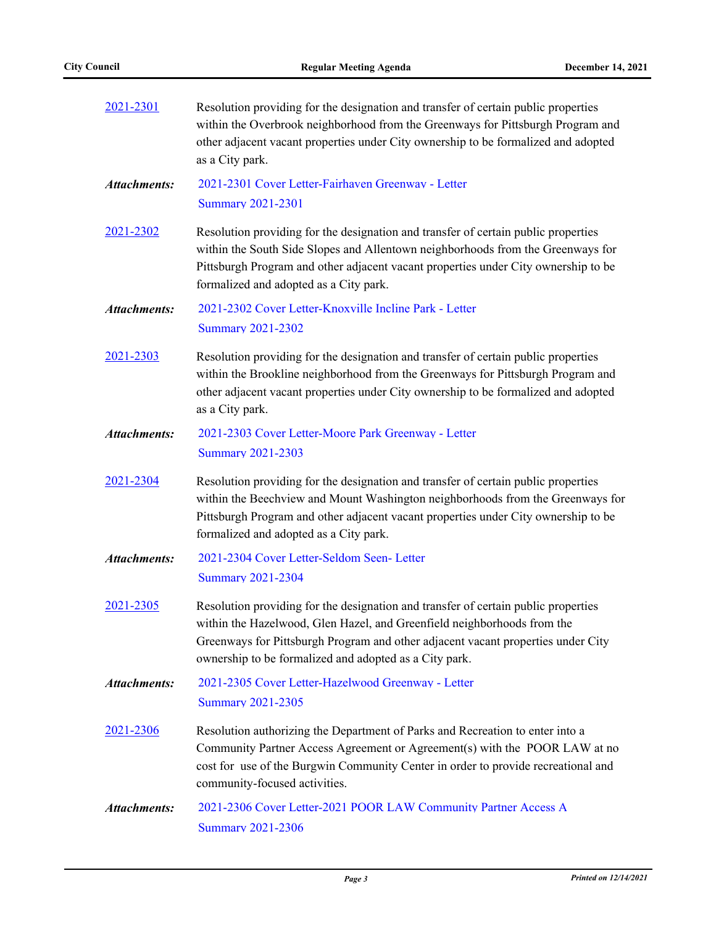| 2021-2301           | Resolution providing for the designation and transfer of certain public properties<br>within the Overbrook neighborhood from the Greenways for Pittsburgh Program and<br>other adjacent vacant properties under City ownership to be formalized and adopted<br>as a City park.                              |  |  |  |
|---------------------|-------------------------------------------------------------------------------------------------------------------------------------------------------------------------------------------------------------------------------------------------------------------------------------------------------------|--|--|--|
| <b>Attachments:</b> | 2021-2301 Cover Letter-Fairhaven Greenway - Letter<br><b>Summary 2021-2301</b>                                                                                                                                                                                                                              |  |  |  |
| 2021-2302           | Resolution providing for the designation and transfer of certain public properties<br>within the South Side Slopes and Allentown neighborhoods from the Greenways for<br>Pittsburgh Program and other adjacent vacant properties under City ownership to be<br>formalized and adopted as a City park.       |  |  |  |
| <b>Attachments:</b> | 2021-2302 Cover Letter-Knoxville Incline Park - Letter<br><b>Summary 2021-2302</b>                                                                                                                                                                                                                          |  |  |  |
| 2021-2303           | Resolution providing for the designation and transfer of certain public properties<br>within the Brookline neighborhood from the Greenways for Pittsburgh Program and<br>other adjacent vacant properties under City ownership to be formalized and adopted<br>as a City park.                              |  |  |  |
| <b>Attachments:</b> | 2021-2303 Cover Letter-Moore Park Greenway - Letter<br><b>Summary 2021-2303</b>                                                                                                                                                                                                                             |  |  |  |
| 2021-2304           | Resolution providing for the designation and transfer of certain public properties<br>within the Beechview and Mount Washington neighborhoods from the Greenways for<br>Pittsburgh Program and other adjacent vacant properties under City ownership to be<br>formalized and adopted as a City park.        |  |  |  |
| <b>Attachments:</b> | 2021-2304 Cover Letter-Seldom Seen- Letter<br><b>Summary 2021-2304</b>                                                                                                                                                                                                                                      |  |  |  |
| 2021-2305           | Resolution providing for the designation and transfer of certain public properties<br>within the Hazelwood, Glen Hazel, and Greenfield neighborhoods from the<br>Greenways for Pittsburgh Program and other adjacent vacant properties under City<br>ownership to be formalized and adopted as a City park. |  |  |  |
| <b>Attachments:</b> | 2021-2305 Cover Letter-Hazelwood Greenway - Letter<br><b>Summary 2021-2305</b>                                                                                                                                                                                                                              |  |  |  |
| 2021-2306           | Resolution authorizing the Department of Parks and Recreation to enter into a<br>Community Partner Access Agreement or Agreement(s) with the POOR LAW at no<br>cost for use of the Burgwin Community Center in order to provide recreational and<br>community-focused activities.                           |  |  |  |
| <b>Attachments:</b> | 2021-2306 Cover Letter-2021 POOR LAW Community Partner Access A<br><b>Summary 2021-2306</b>                                                                                                                                                                                                                 |  |  |  |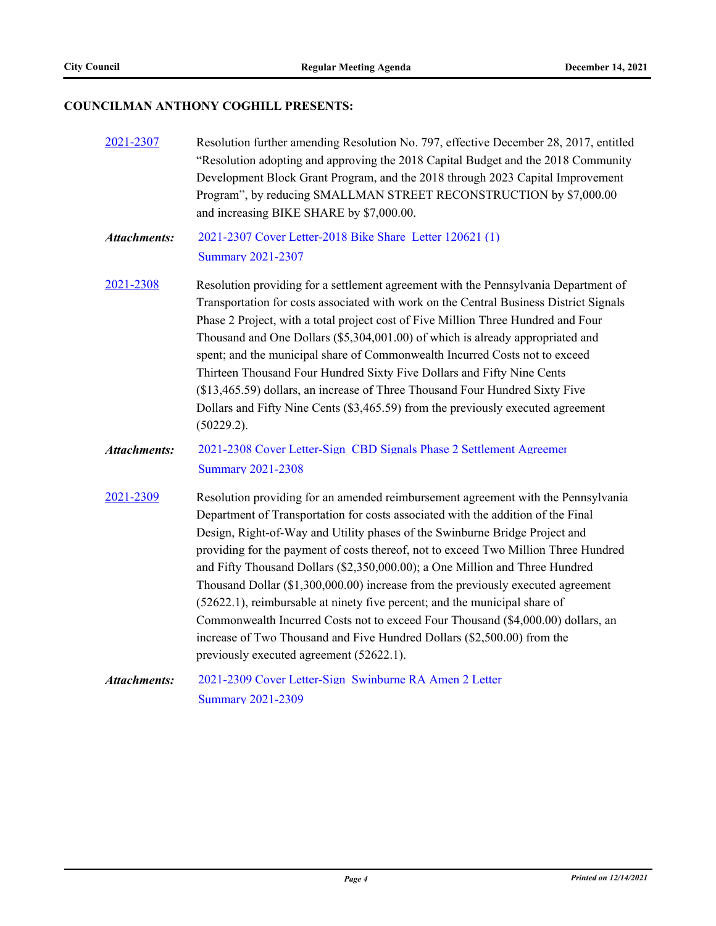## **COUNCILMAN ANTHONY COGHILL PRESENTS:**

| 2021-2307           | Resolution further amending Resolution No. 797, effective December 28, 2017, entitled<br>"Resolution adopting and approving the 2018 Capital Budget and the 2018 Community<br>Development Block Grant Program, and the 2018 through 2023 Capital Improvement<br>Program", by reducing SMALLMAN STREET RECONSTRUCTION by \$7,000.00<br>and increasing BIKE SHARE by \$7,000.00.                                                                                                                                                                                                                                                                                                                                                                                                                           |  |  |
|---------------------|----------------------------------------------------------------------------------------------------------------------------------------------------------------------------------------------------------------------------------------------------------------------------------------------------------------------------------------------------------------------------------------------------------------------------------------------------------------------------------------------------------------------------------------------------------------------------------------------------------------------------------------------------------------------------------------------------------------------------------------------------------------------------------------------------------|--|--|
| <b>Attachments:</b> | 2021-2307 Cover Letter-2018 Bike Share Letter 120621 (1)<br><b>Summary 2021-2307</b>                                                                                                                                                                                                                                                                                                                                                                                                                                                                                                                                                                                                                                                                                                                     |  |  |
| 2021-2308           | Resolution providing for a settlement agreement with the Pennsylvania Department of<br>Transportation for costs associated with work on the Central Business District Signals<br>Phase 2 Project, with a total project cost of Five Million Three Hundred and Four<br>Thousand and One Dollars (\$5,304,001.00) of which is already appropriated and<br>spent; and the municipal share of Commonwealth Incurred Costs not to exceed<br>Thirteen Thousand Four Hundred Sixty Five Dollars and Fifty Nine Cents<br>(\$13,465.59) dollars, an increase of Three Thousand Four Hundred Sixty Five<br>Dollars and Fifty Nine Cents (\$3,465.59) from the previously executed agreement<br>(50229.2).                                                                                                          |  |  |
| <b>Attachments:</b> | 2021-2308 Cover Letter-Sign CBD Signals Phase 2 Settlement Agreemer<br><b>Summary 2021-2308</b>                                                                                                                                                                                                                                                                                                                                                                                                                                                                                                                                                                                                                                                                                                          |  |  |
| 2021-2309           | Resolution providing for an amended reimbursement agreement with the Pennsylvania<br>Department of Transportation for costs associated with the addition of the Final<br>Design, Right-of-Way and Utility phases of the Swinburne Bridge Project and<br>providing for the payment of costs thereof, not to exceed Two Million Three Hundred<br>and Fifty Thousand Dollars (\$2,350,000.00); a One Million and Three Hundred<br>Thousand Dollar (\$1,300,000.00) increase from the previously executed agreement<br>(52622.1), reimbursable at ninety five percent; and the municipal share of<br>Commonwealth Incurred Costs not to exceed Four Thousand (\$4,000.00) dollars, an<br>increase of Two Thousand and Five Hundred Dollars (\$2,500.00) from the<br>previously executed agreement (52622.1). |  |  |
| <b>Attachments:</b> | 2021-2309 Cover Letter-Sign Swinburne RA Amen 2 Letter<br><b>Summary 2021-2309</b>                                                                                                                                                                                                                                                                                                                                                                                                                                                                                                                                                                                                                                                                                                                       |  |  |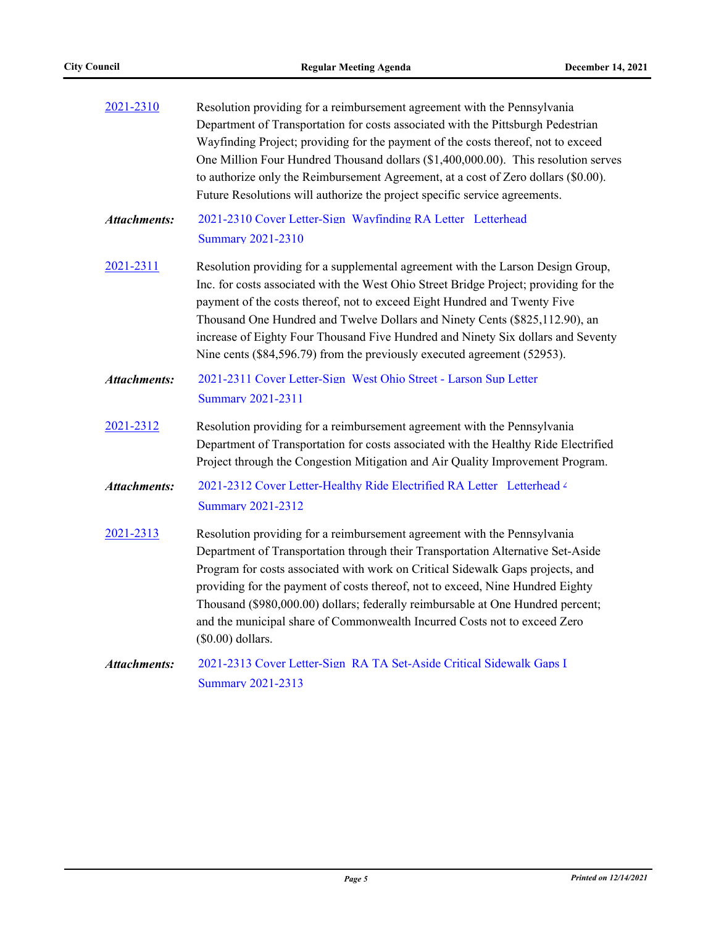| Resolution providing for a reimbursement agreement with the Pennsylvania | Department of Transportation for costs associated with the Pittsburgh Pedestrian<br>Wayfinding Project; providing for the payment of the costs thereof, not to exceed<br>One Million Four Hundred Thousand dollars (\$1,400,000.00). This resolution serves<br>to authorize only the Reimbursement Agreement, at a cost of Zero dollars (\$0.00).<br>Future Resolutions will authorize the project specific service agreements.                                                                                        |  |  |  |
|--------------------------------------------------------------------------|------------------------------------------------------------------------------------------------------------------------------------------------------------------------------------------------------------------------------------------------------------------------------------------------------------------------------------------------------------------------------------------------------------------------------------------------------------------------------------------------------------------------|--|--|--|
| <b>Attachments:</b>                                                      | 2021-2310 Cover Letter-Sign Wayfinding RA Letter Letterhead<br><b>Summary 2021-2310</b>                                                                                                                                                                                                                                                                                                                                                                                                                                |  |  |  |
| 2021-2311                                                                | Resolution providing for a supplemental agreement with the Larson Design Group,<br>Inc. for costs associated with the West Ohio Street Bridge Project; providing for the<br>payment of the costs thereof, not to exceed Eight Hundred and Twenty Five<br>Thousand One Hundred and Twelve Dollars and Ninety Cents (\$825,112.90), an<br>increase of Eighty Four Thousand Five Hundred and Ninety Six dollars and Seventy<br>Nine cents (\$84,596.79) from the previously executed agreement (52953).                   |  |  |  |
| Attachments:                                                             | 2021-2311 Cover Letter-Sign West Ohio Street - Larson Sup Letter<br><b>Summary 2021-2311</b>                                                                                                                                                                                                                                                                                                                                                                                                                           |  |  |  |
| 2021-2312                                                                | Resolution providing for a reimbursement agreement with the Pennsylvania<br>Department of Transportation for costs associated with the Healthy Ride Electrified<br>Project through the Congestion Mitigation and Air Quality Improvement Program.                                                                                                                                                                                                                                                                      |  |  |  |
| <b>Attachments:</b>                                                      | 2021-2312 Cover Letter-Healthy Ride Electrified RA Letter Letterhead 4<br><b>Summary 2021-2312</b>                                                                                                                                                                                                                                                                                                                                                                                                                     |  |  |  |
| 2021-2313                                                                | Resolution providing for a reimbursement agreement with the Pennsylvania<br>Department of Transportation through their Transportation Alternative Set-Aside<br>Program for costs associated with work on Critical Sidewalk Gaps projects, and<br>providing for the payment of costs thereof, not to exceed, Nine Hundred Eighty<br>Thousand (\$980,000.00) dollars; federally reimbursable at One Hundred percent;<br>and the municipal share of Commonwealth Incurred Costs not to exceed Zero<br>$(\$0.00)$ dollars. |  |  |  |
| <b>Attachments:</b>                                                      | 2021-2313 Cover Letter-Sign RA TA Set-Aside Critical Sidewalk Gaps I<br><b>Summary 2021-2313</b>                                                                                                                                                                                                                                                                                                                                                                                                                       |  |  |  |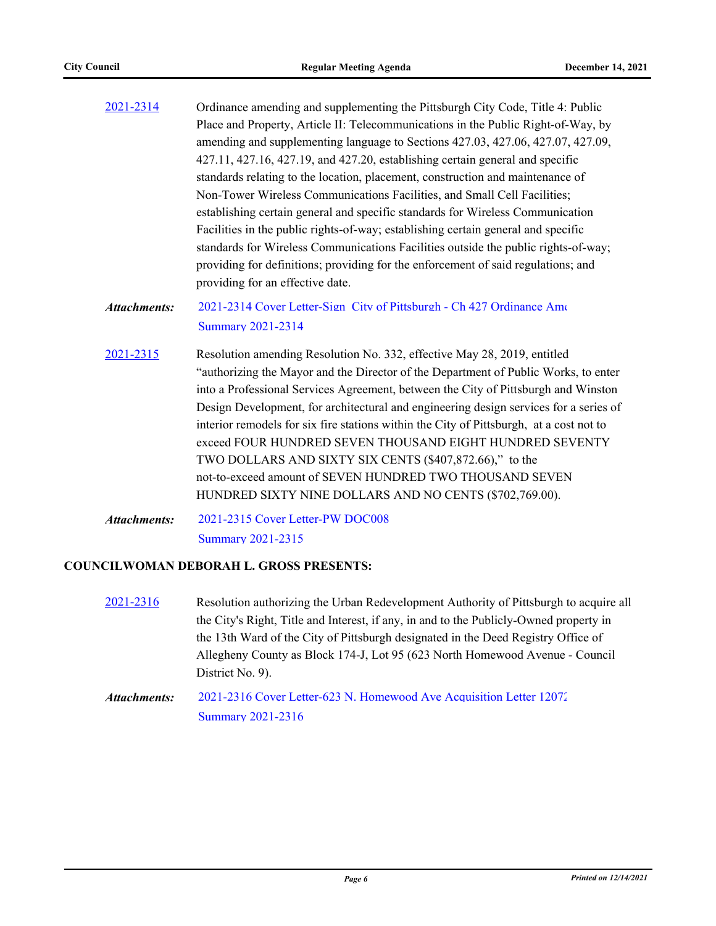- [2021-2314](http://pittsburgh.legistar.com/gateway.aspx?m=l&id=/matter.aspx?key=27217) Ordinance amending and supplementing the Pittsburgh City Code, Title 4: Public Place and Property, Article II: Telecommunications in the Public Right-of-Way, by amending and supplementing language to Sections 427.03, 427.06, 427.07, 427.09, 427.11, 427.16, 427.19, and 427.20, establishing certain general and specific standards relating to the location, placement, construction and maintenance of Non-Tower Wireless Communications Facilities, and Small Cell Facilities; establishing certain general and specific standards for Wireless Communication Facilities in the public rights-of-way; establishing certain general and specific standards for Wireless Communications Facilities outside the public rights-of-way; providing for definitions; providing for the enforcement of said regulations; and providing for an effective date.
- 2021-2314 Cover Letter-Sign City of Pittsburgh Ch 427 Ordinance Ame [Summary 2021-2314](http://pittsburgh.legistar.com/gateway.aspx?M=F&ID=dc400025-be3e-4732-b8ee-1f0b83cf99ac.docx) *Attachments:*
- [2021-2315](http://pittsburgh.legistar.com/gateway.aspx?m=l&id=/matter.aspx?key=27218) Resolution amending Resolution No. 332, effective May 28, 2019, entitled "authorizing the Mayor and the Director of the Department of Public Works, to enter into a Professional Services Agreement, between the City of Pittsburgh and Winston Design Development, for architectural and engineering design services for a series of interior remodels for six fire stations within the City of Pittsburgh, at a cost not to exceed FOUR HUNDRED SEVEN THOUSAND EIGHT HUNDRED SEVENTY TWO DOLLARS AND SIXTY SIX CENTS (\$407,872.66)," to the not-to-exceed amount of SEVEN HUNDRED TWO THOUSAND SEVEN HUNDRED SIXTY NINE DOLLARS AND NO CENTS (\$702,769.00).
- [2021-2315 Cover Letter-PW DOC008](http://pittsburgh.legistar.com/gateway.aspx?M=F&ID=e697c12a-e1ed-4bf5-8cc3-3d46b8b5dd20.PDF) [Summary 2021-2315](http://pittsburgh.legistar.com/gateway.aspx?M=F&ID=6deded91-b39a-47f9-898c-0cbc7dbf1e61.docx) *Attachments:*

#### **COUNCILWOMAN DEBORAH L. GROSS PRESENTS:**

- [2021-2316](http://pittsburgh.legistar.com/gateway.aspx?m=l&id=/matter.aspx?key=27219) Resolution authorizing the Urban Redevelopment Authority of Pittsburgh to acquire all the City's Right, Title and Interest, if any, in and to the Publicly-Owned property in the 13th Ward of the City of Pittsburgh designated in the Deed Registry Office of Allegheny County as Block 174-J, Lot 95 (623 North Homewood Avenue - Council District No. 9).
- [2021-2316 Cover Letter-623 N. Homewood Ave Acquisition Letter 12072](http://pittsburgh.legistar.com/gateway.aspx?M=F&ID=4b31dfef-5044-48d4-9abf-9ee32034fc6f.pdf) [Summary 2021-2316](http://pittsburgh.legistar.com/gateway.aspx?M=F&ID=011a4782-6e33-445b-a7eb-54932884d6a2.docx) *Attachments:*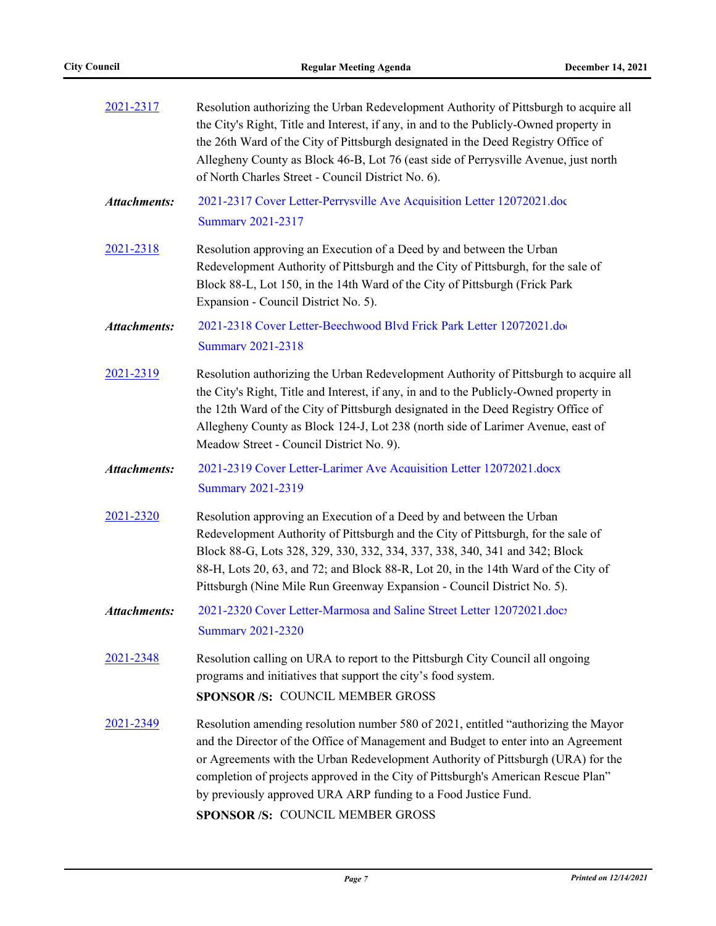| 2021-2317        | Resolution authorizing the Urban Redevelopment Authority of Pittsburgh to acquire all<br>the City's Right, Title and Interest, if any, in and to the Publicly-Owned property in<br>the 26th Ward of the City of Pittsburgh designated in the Deed Registry Office of<br>Allegheny County as Block 46-B, Lot 76 (east side of Perrysville Avenue, just north<br>of North Charles Street - Council District No. 6).                                       |  |  |  |
|------------------|---------------------------------------------------------------------------------------------------------------------------------------------------------------------------------------------------------------------------------------------------------------------------------------------------------------------------------------------------------------------------------------------------------------------------------------------------------|--|--|--|
| Attachments:     | 2021-2317 Cover Letter-Perrysville Ave Acquisition Letter 12072021.doc<br><b>Summary 2021-2317</b>                                                                                                                                                                                                                                                                                                                                                      |  |  |  |
| <u>2021-2318</u> | Resolution approving an Execution of a Deed by and between the Urban<br>Redevelopment Authority of Pittsburgh and the City of Pittsburgh, for the sale of<br>Block 88-L, Lot 150, in the 14th Ward of the City of Pittsburgh (Frick Park<br>Expansion - Council District No. 5).                                                                                                                                                                        |  |  |  |
| Attachments:     | 2021-2318 Cover Letter-Beechwood Blvd Frick Park Letter 12072021.do<br><b>Summary 2021-2318</b>                                                                                                                                                                                                                                                                                                                                                         |  |  |  |
| 2021-2319        | Resolution authorizing the Urban Redevelopment Authority of Pittsburgh to acquire all<br>the City's Right, Title and Interest, if any, in and to the Publicly-Owned property in<br>the 12th Ward of the City of Pittsburgh designated in the Deed Registry Office of<br>Allegheny County as Block 124-J, Lot 238 (north side of Larimer Avenue, east of<br>Meadow Street - Council District No. 9).                                                     |  |  |  |
| Attachments:     | 2021-2319 Cover Letter-Larimer Ave Acquisition Letter 12072021.docx<br><b>Summary 2021-2319</b>                                                                                                                                                                                                                                                                                                                                                         |  |  |  |
| 2021-2320        | Resolution approving an Execution of a Deed by and between the Urban<br>Redevelopment Authority of Pittsburgh and the City of Pittsburgh, for the sale of<br>Block 88-G, Lots 328, 329, 330, 332, 334, 337, 338, 340, 341 and 342; Block<br>88-H, Lots 20, 63, and 72; and Block 88-R, Lot 20, in the 14th Ward of the City of<br>Pittsburgh (Nine Mile Run Greenway Expansion - Council District No. 5).                                               |  |  |  |
| Attachments:     | 2021-2320 Cover Letter-Marmosa and Saline Street Letter 12072021.docz<br><b>Summary 2021-2320</b>                                                                                                                                                                                                                                                                                                                                                       |  |  |  |
| 2021-2348        | Resolution calling on URA to report to the Pittsburgh City Council all ongoing<br>programs and initiatives that support the city's food system.<br><b>SPONSOR /S: COUNCIL MEMBER GROSS</b>                                                                                                                                                                                                                                                              |  |  |  |
| 2021-2349        | Resolution amending resolution number 580 of 2021, entitled "authorizing the Mayor<br>and the Director of the Office of Management and Budget to enter into an Agreement<br>or Agreements with the Urban Redevelopment Authority of Pittsburgh (URA) for the<br>completion of projects approved in the City of Pittsburgh's American Rescue Plan"<br>by previously approved URA ARP funding to a Food Justice Fund.<br>SPONSOR /S: COUNCIL MEMBER GROSS |  |  |  |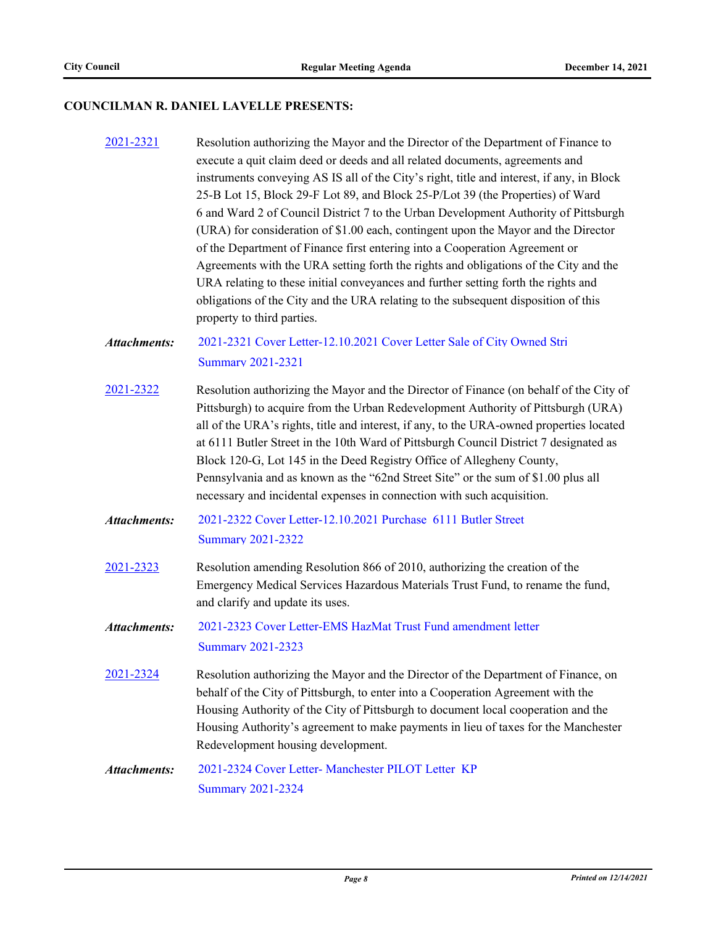# **COUNCILMAN R. DANIEL LAVELLE PRESENTS:**

| 2021-2321           | Resolution authorizing the Mayor and the Director of the Department of Finance to<br>execute a quit claim deed or deeds and all related documents, agreements and<br>instruments conveying AS IS all of the City's right, title and interest, if any, in Block<br>25-B Lot 15, Block 29-F Lot 89, and Block 25-P/Lot 39 (the Properties) of Ward<br>6 and Ward 2 of Council District 7 to the Urban Development Authority of Pittsburgh<br>(URA) for consideration of \$1.00 each, contingent upon the Mayor and the Director<br>of the Department of Finance first entering into a Cooperation Agreement or<br>Agreements with the URA setting forth the rights and obligations of the City and the<br>URA relating to these initial conveyances and further setting forth the rights and<br>obligations of the City and the URA relating to the subsequent disposition of this<br>property to third parties. |
|---------------------|----------------------------------------------------------------------------------------------------------------------------------------------------------------------------------------------------------------------------------------------------------------------------------------------------------------------------------------------------------------------------------------------------------------------------------------------------------------------------------------------------------------------------------------------------------------------------------------------------------------------------------------------------------------------------------------------------------------------------------------------------------------------------------------------------------------------------------------------------------------------------------------------------------------|
| <b>Attachments:</b> | 2021-2321 Cover Letter-12.10.2021 Cover Letter Sale of City Owned Stri<br><b>Summary 2021-2321</b>                                                                                                                                                                                                                                                                                                                                                                                                                                                                                                                                                                                                                                                                                                                                                                                                             |
| 2021-2322           | Resolution authorizing the Mayor and the Director of Finance (on behalf of the City of<br>Pittsburgh) to acquire from the Urban Redevelopment Authority of Pittsburgh (URA)<br>all of the URA's rights, title and interest, if any, to the URA-owned properties located<br>at 6111 Butler Street in the 10th Ward of Pittsburgh Council District 7 designated as<br>Block 120-G, Lot 145 in the Deed Registry Office of Allegheny County,<br>Pennsylvania and as known as the "62nd Street Site" or the sum of \$1.00 plus all<br>necessary and incidental expenses in connection with such acquisition.                                                                                                                                                                                                                                                                                                       |
| <b>Attachments:</b> | 2021-2322 Cover Letter-12.10.2021 Purchase 6111 Butler Street<br><b>Summary 2021-2322</b>                                                                                                                                                                                                                                                                                                                                                                                                                                                                                                                                                                                                                                                                                                                                                                                                                      |
| 2021-2323           | Resolution amending Resolution 866 of 2010, authorizing the creation of the<br>Emergency Medical Services Hazardous Materials Trust Fund, to rename the fund,<br>and clarify and update its uses.                                                                                                                                                                                                                                                                                                                                                                                                                                                                                                                                                                                                                                                                                                              |
| <b>Attachments:</b> | 2021-2323 Cover Letter-EMS HazMat Trust Fund amendment letter<br><b>Summary 2021-2323</b>                                                                                                                                                                                                                                                                                                                                                                                                                                                                                                                                                                                                                                                                                                                                                                                                                      |
| 2021-2324           | Resolution authorizing the Mayor and the Director of the Department of Finance, on<br>behalf of the City of Pittsburgh, to enter into a Cooperation Agreement with the<br>Housing Authority of the City of Pittsburgh to document local cooperation and the<br>Housing Authority's agreement to make payments in lieu of taxes for the Manchester<br>Redevelopment housing development.                                                                                                                                                                                                                                                                                                                                                                                                                                                                                                                        |
| <b>Attachments:</b> | 2021-2324 Cover Letter- Manchester PILOT Letter KP<br><b>Summary 2021-2324</b>                                                                                                                                                                                                                                                                                                                                                                                                                                                                                                                                                                                                                                                                                                                                                                                                                                 |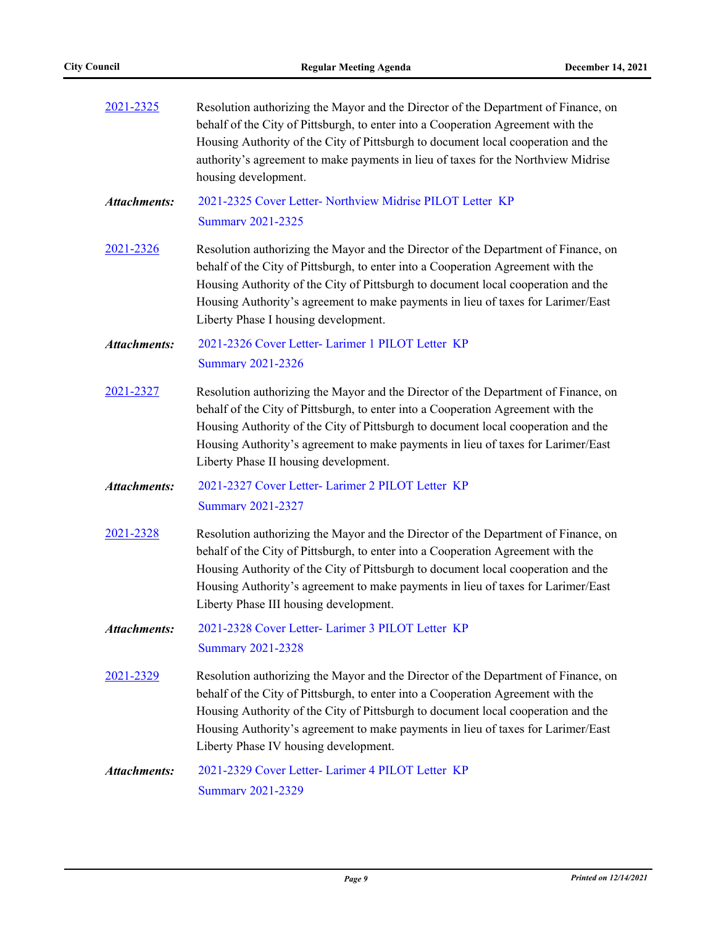| 2021-2325           | Resolution authorizing the Mayor and the Director of the Department of Finance, on<br>behalf of the City of Pittsburgh, to enter into a Cooperation Agreement with the<br>Housing Authority of the City of Pittsburgh to document local cooperation and the<br>authority's agreement to make payments in lieu of taxes for the Northview Midrise<br>housing development.                  |  |  |  |
|---------------------|-------------------------------------------------------------------------------------------------------------------------------------------------------------------------------------------------------------------------------------------------------------------------------------------------------------------------------------------------------------------------------------------|--|--|--|
| <b>Attachments:</b> | 2021-2325 Cover Letter- Northview Midrise PILOT Letter KP<br><b>Summary 2021-2325</b>                                                                                                                                                                                                                                                                                                     |  |  |  |
| <u>2021-2326</u>    | Resolution authorizing the Mayor and the Director of the Department of Finance, on<br>behalf of the City of Pittsburgh, to enter into a Cooperation Agreement with the<br>Housing Authority of the City of Pittsburgh to document local cooperation and the<br>Housing Authority's agreement to make payments in lieu of taxes for Larimer/East<br>Liberty Phase I housing development.   |  |  |  |
| <b>Attachments:</b> | 2021-2326 Cover Letter- Larimer 1 PILOT Letter KP<br><b>Summary 2021-2326</b>                                                                                                                                                                                                                                                                                                             |  |  |  |
| 2021-2327           | Resolution authorizing the Mayor and the Director of the Department of Finance, on<br>behalf of the City of Pittsburgh, to enter into a Cooperation Agreement with the<br>Housing Authority of the City of Pittsburgh to document local cooperation and the<br>Housing Authority's agreement to make payments in lieu of taxes for Larimer/East<br>Liberty Phase II housing development.  |  |  |  |
| <b>Attachments:</b> | 2021-2327 Cover Letter- Larimer 2 PILOT Letter KP<br><b>Summary 2021-2327</b>                                                                                                                                                                                                                                                                                                             |  |  |  |
| 2021-2328           | Resolution authorizing the Mayor and the Director of the Department of Finance, on<br>behalf of the City of Pittsburgh, to enter into a Cooperation Agreement with the<br>Housing Authority of the City of Pittsburgh to document local cooperation and the<br>Housing Authority's agreement to make payments in lieu of taxes for Larimer/East<br>Liberty Phase III housing development. |  |  |  |
| <b>Attachments:</b> | 2021-2328 Cover Letter- Larimer 3 PILOT Letter KP<br><b>Summary 2021-2328</b>                                                                                                                                                                                                                                                                                                             |  |  |  |
| 2021-2329           | Resolution authorizing the Mayor and the Director of the Department of Finance, on<br>behalf of the City of Pittsburgh, to enter into a Cooperation Agreement with the<br>Housing Authority of the City of Pittsburgh to document local cooperation and the<br>Housing Authority's agreement to make payments in lieu of taxes for Larimer/East<br>Liberty Phase IV housing development.  |  |  |  |
| <b>Attachments:</b> | 2021-2329 Cover Letter- Larimer 4 PILOT Letter KP<br>Summary 2021-2329                                                                                                                                                                                                                                                                                                                    |  |  |  |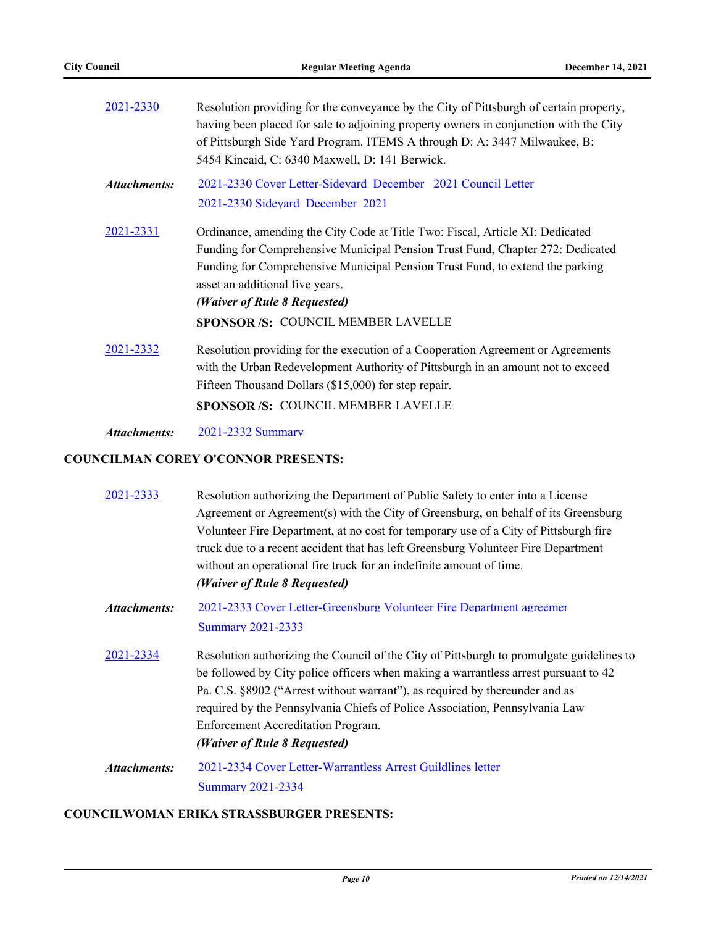| 2021-2330           | Resolution providing for the conveyance by the City of Pittsburgh of certain property,<br>having been placed for sale to adjoining property owners in conjunction with the City<br>of Pittsburgh Side Yard Program. ITEMS A through D: A: 3447 Milwaukee, B:<br>5454 Kincaid, C: 6340 Maxwell, D: 141 Berwick.                                                  |  |  |
|---------------------|-----------------------------------------------------------------------------------------------------------------------------------------------------------------------------------------------------------------------------------------------------------------------------------------------------------------------------------------------------------------|--|--|
| <b>Attachments:</b> | 2021-2330 Cover Letter-Sidevard December 2021 Council Letter<br>2021-2330 Sidevard December 2021                                                                                                                                                                                                                                                                |  |  |
| 2021-2331           | Ordinance, amending the City Code at Title Two: Fiscal, Article XI: Dedicated<br>Funding for Comprehensive Municipal Pension Trust Fund, Chapter 272: Dedicated<br>Funding for Comprehensive Municipal Pension Trust Fund, to extend the parking<br>asset an additional five years.<br>(Waiver of Rule 8 Requested)<br><b>SPONSOR/S: COUNCIL MEMBER LAVELLE</b> |  |  |
| 2021-2332           | Resolution providing for the execution of a Cooperation Agreement or Agreements<br>with the Urban Redevelopment Authority of Pittsburgh in an amount not to exceed<br>Fifteen Thousand Dollars (\$15,000) for step repair.<br><b>SPONSOR/S: COUNCIL MEMBER LAVELLE</b>                                                                                          |  |  |
|                     |                                                                                                                                                                                                                                                                                                                                                                 |  |  |

*Attachments:* [2021-2332 Summary](http://pittsburgh.legistar.com/gateway.aspx?M=F&ID=2fa9a515-12f4-436f-b062-69cc98110ffa.docx)

#### **COUNCILMAN COREY O'CONNOR PRESENTS:**

| 2021-2333    | Resolution authorizing the Department of Public Safety to enter into a License<br>Agreement or Agreement(s) with the City of Greensburg, on behalf of its Greensburg<br>Volunteer Fire Department, at no cost for temporary use of a City of Pittsburgh fire<br>truck due to a recent accident that has left Greensburg Volunteer Fire Department<br>without an operational fire truck for an indefinite amount of time.<br>(Waiver of Rule 8 Requested) |
|--------------|----------------------------------------------------------------------------------------------------------------------------------------------------------------------------------------------------------------------------------------------------------------------------------------------------------------------------------------------------------------------------------------------------------------------------------------------------------|
| Attachments: | 2021-2333 Cover Letter-Greensburg Volunteer Fire Department agreement<br><b>Summary 2021-2333</b>                                                                                                                                                                                                                                                                                                                                                        |
| 2021-2334    | Resolution authorizing the Council of the City of Pittsburgh to promulgate guidelines to<br>be followed by City police officers when making a warrantless arrest pursuant to 42<br>Pa. C.S. §8902 ("Arrest without warrant"), as required by thereunder and as<br>required by the Pennsylvania Chiefs of Police Association, Pennsylvania Law<br>Enforcement Accreditation Program.<br>(Waiver of Rule 8 Requested)                                      |
| Attachments: | 2021-2334 Cover Letter-Warrantless Arrest Guildlines letter                                                                                                                                                                                                                                                                                                                                                                                              |
|              | <b>Summary 2021-2334</b>                                                                                                                                                                                                                                                                                                                                                                                                                                 |

#### **COUNCILWOMAN ERIKA STRASSBURGER PRESENTS:**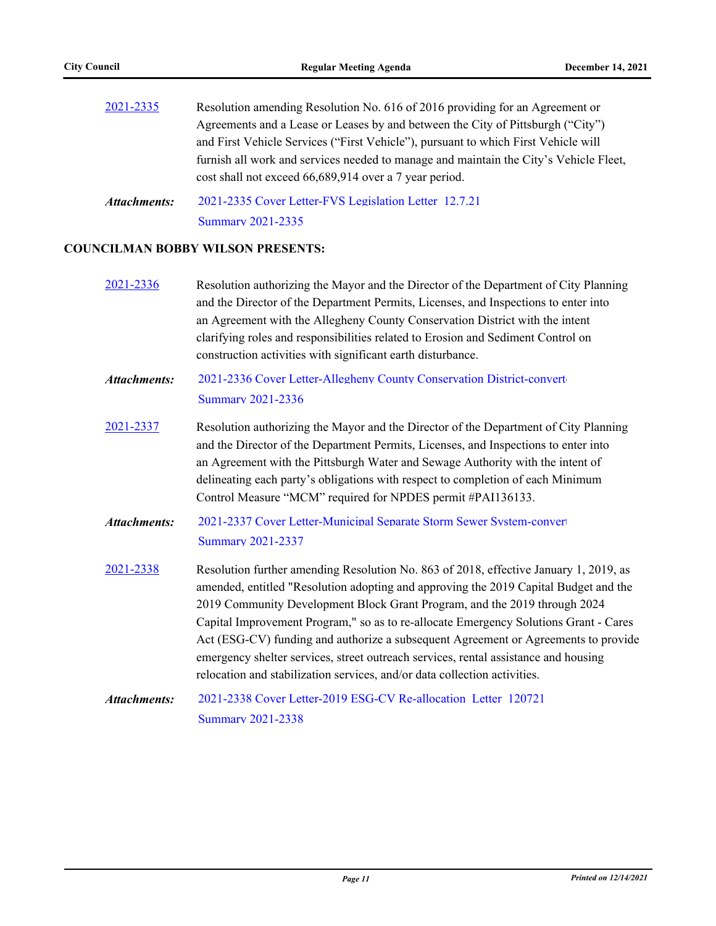| 2021-2335 | Resolution amending Resolution No. 616 of 2016 providing for an Agreement or          |
|-----------|---------------------------------------------------------------------------------------|
|           | Agreements and a Lease or Leases by and between the City of Pittsburgh ("City")       |
|           | and First Vehicle Services ("First Vehicle"), pursuant to which First Vehicle will    |
|           | furnish all work and services needed to manage and maintain the City's Vehicle Fleet, |
|           | cost shall not exceed 66,689,914 over a 7 year period.                                |
|           |                                                                                       |

[2021-2335 Cover Letter-FVS Legislation Letter\\_12.7.21](http://pittsburgh.legistar.com/gateway.aspx?M=F&ID=e6b1ad7c-3eab-42f3-bd93-8afff041c95d.docx) [Summary 2021-2335](http://pittsburgh.legistar.com/gateway.aspx?M=F&ID=8c3fc000-4bb0-4e99-87a2-d020ec00acc9.docx) *Attachments:*

#### **COUNCILMAN BOBBY WILSON PRESENTS:**

- [2021-2336](http://pittsburgh.legistar.com/gateway.aspx?m=l&id=/matter.aspx?key=27239) Resolution authorizing the Mayor and the Director of the Department of City Planning and the Director of the Department Permits, Licenses, and Inspections to enter into an Agreement with the Allegheny County Conservation District with the intent clarifying roles and responsibilities related to Erosion and Sediment Control on construction activities with significant earth disturbance.
- 2021-2336 Cover Letter-Allegheny County Conservation District-convert [Summary 2021-2336](http://pittsburgh.legistar.com/gateway.aspx?M=F&ID=af278c5e-b8f7-43f9-83cb-8fd136bbaf37.docx) *Attachments:*
- [2021-2337](http://pittsburgh.legistar.com/gateway.aspx?m=l&id=/matter.aspx?key=27240) Resolution authorizing the Mayor and the Director of the Department of City Planning and the Director of the Department Permits, Licenses, and Inspections to enter into an Agreement with the Pittsburgh Water and Sewage Authority with the intent of delineating each party's obligations with respect to completion of each Minimum Control Measure "MCM" required for NPDES permit #PAI136133.
- [2021-2337 Cover Letter-Municipal Separate Storm Sewer System-convert](http://pittsburgh.legistar.com/gateway.aspx?M=F&ID=699c952d-e380-40ba-96a4-87dd85487dbb.pdf)ed [Summary 2021-2337](http://pittsburgh.legistar.com/gateway.aspx?M=F&ID=e401049c-70be-467f-a4b2-95781c0e3f20.docx) *Attachments:*
- [2021-2338](http://pittsburgh.legistar.com/gateway.aspx?m=l&id=/matter.aspx?key=27241) Resolution further amending Resolution No. 863 of 2018, effective January 1, 2019, as amended, entitled "Resolution adopting and approving the 2019 Capital Budget and the 2019 Community Development Block Grant Program, and the 2019 through 2024 Capital Improvement Program," so as to re-allocate Emergency Solutions Grant - Cares Act (ESG-CV) funding and authorize a subsequent Agreement or Agreements to provide emergency shelter services, street outreach services, rental assistance and housing relocation and stabilization services, and/or data collection activities.
- [2021-2338 Cover Letter-2019 ESG-CV Re-allocation\\_Letter\\_120721](http://pittsburgh.legistar.com/gateway.aspx?M=F&ID=af3793a9-77a2-4512-a67f-1fc0f4bdc3d6.docx) [Summary 2021-2338](http://pittsburgh.legistar.com/gateway.aspx?M=F&ID=8ff6efd3-a14b-42f8-a730-3a2b996b5436.docx) *Attachments:*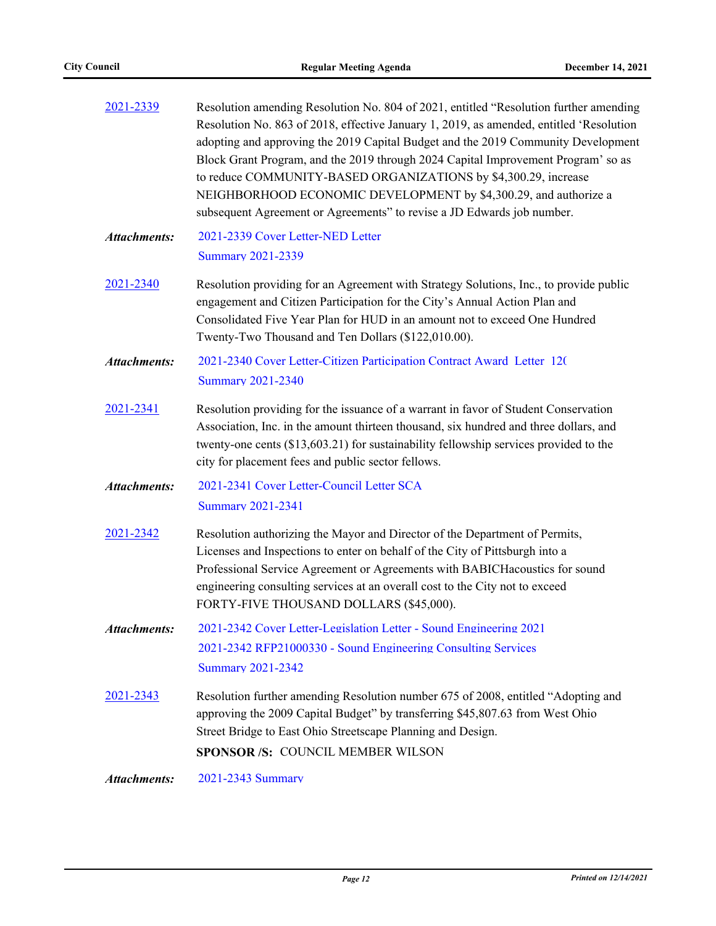| 2021-2339           | Resolution amending Resolution No. 804 of 2021, entitled "Resolution further amending<br>Resolution No. 863 of 2018, effective January 1, 2019, as amended, entitled 'Resolution<br>adopting and approving the 2019 Capital Budget and the 2019 Community Development<br>Block Grant Program, and the 2019 through 2024 Capital Improvement Program' so as<br>to reduce COMMUNITY-BASED ORGANIZATIONS by \$4,300.29, increase<br>NEIGHBORHOOD ECONOMIC DEVELOPMENT by \$4,300.29, and authorize a<br>subsequent Agreement or Agreements" to revise a JD Edwards job number. |  |  |  |
|---------------------|-----------------------------------------------------------------------------------------------------------------------------------------------------------------------------------------------------------------------------------------------------------------------------------------------------------------------------------------------------------------------------------------------------------------------------------------------------------------------------------------------------------------------------------------------------------------------------|--|--|--|
| <b>Attachments:</b> | 2021-2339 Cover Letter-NED Letter<br><b>Summary 2021-2339</b>                                                                                                                                                                                                                                                                                                                                                                                                                                                                                                               |  |  |  |
| 2021-2340           | Resolution providing for an Agreement with Strategy Solutions, Inc., to provide public<br>engagement and Citizen Participation for the City's Annual Action Plan and<br>Consolidated Five Year Plan for HUD in an amount not to exceed One Hundred<br>Twenty-Two Thousand and Ten Dollars (\$122,010.00).                                                                                                                                                                                                                                                                   |  |  |  |
| <b>Attachments:</b> | 2021-2340 Cover Letter-Citizen Participation Contract Award Letter 120<br><b>Summary 2021-2340</b>                                                                                                                                                                                                                                                                                                                                                                                                                                                                          |  |  |  |
| 2021-2341           | Resolution providing for the issuance of a warrant in favor of Student Conservation<br>Association, Inc. in the amount thirteen thousand, six hundred and three dollars, and<br>twenty-one cents (\$13,603.21) for sustainability fellowship services provided to the<br>city for placement fees and public sector fellows.                                                                                                                                                                                                                                                 |  |  |  |
| <b>Attachments:</b> | 2021-2341 Cover Letter-Council Letter SCA<br><b>Summary 2021-2341</b>                                                                                                                                                                                                                                                                                                                                                                                                                                                                                                       |  |  |  |
| 2021-2342           | Resolution authorizing the Mayor and Director of the Department of Permits,<br>Licenses and Inspections to enter on behalf of the City of Pittsburgh into a<br>Professional Service Agreement or Agreements with BABICHacoustics for sound<br>engineering consulting services at an overall cost to the City not to exceed<br>FORTY-FIVE THOUSAND DOLLARS (\$45,000).                                                                                                                                                                                                       |  |  |  |
| <b>Attachments:</b> | 2021-2342 Cover Letter-Legislation Letter - Sound Engineering 2021<br>2021-2342 RFP21000330 - Sound Engineering Consulting Services<br><b>Summary 2021-2342</b>                                                                                                                                                                                                                                                                                                                                                                                                             |  |  |  |
| 2021-2343           | Resolution further amending Resolution number 675 of 2008, entitled "Adopting and<br>approving the 2009 Capital Budget" by transferring \$45,807.63 from West Ohio<br>Street Bridge to East Ohio Streetscape Planning and Design.<br><b>SPONSOR/S: COUNCIL MEMBER WILSON</b>                                                                                                                                                                                                                                                                                                |  |  |  |
| <b>Attachments:</b> | 2021-2343 Summary                                                                                                                                                                                                                                                                                                                                                                                                                                                                                                                                                           |  |  |  |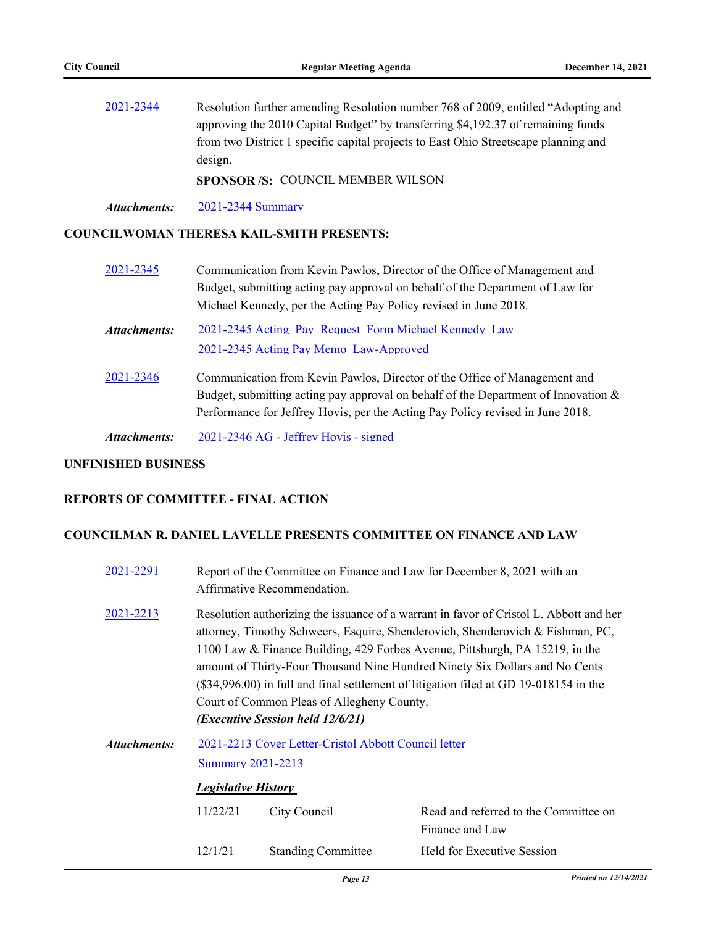[2021-2344](http://pittsburgh.legistar.com/gateway.aspx?m=l&id=/matter.aspx?key=27247) Resolution further amending Resolution number 768 of 2009, entitled "Adopting and approving the 2010 Capital Budget" by transferring \$4,192.37 of remaining funds from two District 1 specific capital projects to East Ohio Streetscape planning and design.

**SPONSOR /S:** COUNCIL MEMBER WILSON

*Attachments:* [2021-2344 Summary](http://pittsburgh.legistar.com/gateway.aspx?M=F&ID=1248e956-91df-4fbf-8b7e-c2e9afd48036.docx)

#### **COUNCILWOMAN THERESA KAIL-SMITH PRESENTS:**

[2021-2345](http://pittsburgh.legistar.com/gateway.aspx?m=l&id=/matter.aspx?key=27248) Communication from Kevin Pawlos, Director of the Office of Management and Budget, submitting acting pay approval on behalf of the Department of Law for Michael Kennedy, per the Acting Pay Policy revised in June 2018. [2021-2345 Acting\\_Pay\\_Request\\_Form Michael Kennedy\\_Law](http://pittsburgh.legistar.com/gateway.aspx?M=F&ID=44ab1a50-4caa-4c97-b24f-510be4381c32.pdf) [2021-2345 Acting Pay Memo\\_Law-Approved](http://pittsburgh.legistar.com/gateway.aspx?M=F&ID=22c9c2f7-2ea4-4154-9649-35ddbce2f663.docx) *Attachments:* [2021-2346](http://pittsburgh.legistar.com/gateway.aspx?m=l&id=/matter.aspx?key=27249) Communication from Kevin Pawlos, Director of the Office of Management and Budget, submitting acting pay approval on behalf of the Department of Innovation & Performance for Jeffrey Hovis, per the Acting Pay Policy revised in June 2018.

*Attachments:* [2021-2346 AG - Jeffrey Hovis - signed](http://pittsburgh.legistar.com/gateway.aspx?M=F&ID=bf7e528b-2dba-432d-9c9d-e3bf481d9c04.pdf)

#### **UNFINISHED BUSINESS**

#### **REPORTS OF COMMITTEE - FINAL ACTION**

#### **COUNCILMAN R. DANIEL LAVELLE PRESENTS COMMITTEE ON FINANCE AND LAW**

| 2021-2291    |                                                                                                                                                                                                                                                                                                                                                                                                                                                                                                                    | Report of the Committee on Finance and Law for December 8, 2021 with an<br>Affirmative Recommendation. |                                                          |  |  |
|--------------|--------------------------------------------------------------------------------------------------------------------------------------------------------------------------------------------------------------------------------------------------------------------------------------------------------------------------------------------------------------------------------------------------------------------------------------------------------------------------------------------------------------------|--------------------------------------------------------------------------------------------------------|----------------------------------------------------------|--|--|
| 2021-2213    | Resolution authorizing the issuance of a warrant in favor of Cristol L. Abbott and her<br>attorney, Timothy Schweers, Esquire, Shenderovich, Shenderovich & Fishman, PC,<br>1100 Law & Finance Building, 429 Forbes Avenue, Pittsburgh, PA 15219, in the<br>amount of Thirty-Four Thousand Nine Hundred Ninety Six Dollars and No Cents<br>(\$34,996.00) in full and final settlement of litigation filed at GD 19-018154 in the<br>Court of Common Pleas of Allegheny County.<br>(Executive Session held 12/6/21) |                                                                                                        |                                                          |  |  |
| Attachments: | 2021-2213 Cover Letter-Cristol Abbott Council letter                                                                                                                                                                                                                                                                                                                                                                                                                                                               |                                                                                                        |                                                          |  |  |
|              | <b>Summary 2021-2213</b>                                                                                                                                                                                                                                                                                                                                                                                                                                                                                           |                                                                                                        |                                                          |  |  |
|              | <b>Legislative History</b>                                                                                                                                                                                                                                                                                                                                                                                                                                                                                         |                                                                                                        |                                                          |  |  |
|              | 11/22/21                                                                                                                                                                                                                                                                                                                                                                                                                                                                                                           | City Council                                                                                           | Read and referred to the Committee on<br>Finance and Law |  |  |
|              | 12/1/21                                                                                                                                                                                                                                                                                                                                                                                                                                                                                                            | <b>Standing Committee</b>                                                                              | Held for Executive Session                               |  |  |
|              |                                                                                                                                                                                                                                                                                                                                                                                                                                                                                                                    |                                                                                                        |                                                          |  |  |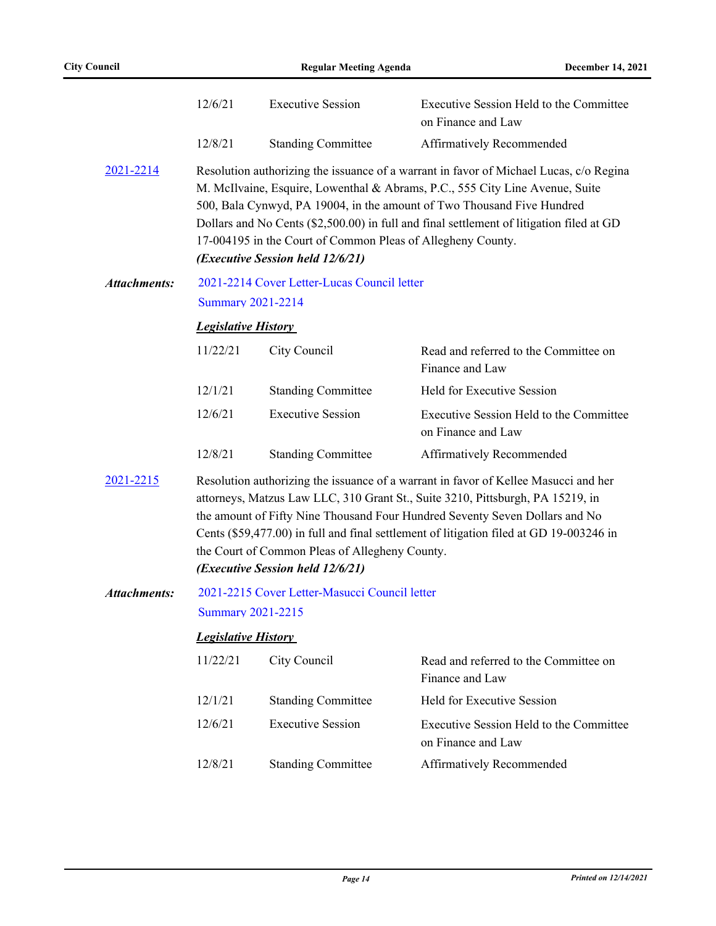|                     | 12/6/21                                                                                                                                                                                                                                                                                                                                                                                                                               | <b>Executive Session</b>                                                                                                                                                                                                                                                                                                                                                                                                                        | Executive Session Held to the Committee<br>on Finance and Law |  |
|---------------------|---------------------------------------------------------------------------------------------------------------------------------------------------------------------------------------------------------------------------------------------------------------------------------------------------------------------------------------------------------------------------------------------------------------------------------------|-------------------------------------------------------------------------------------------------------------------------------------------------------------------------------------------------------------------------------------------------------------------------------------------------------------------------------------------------------------------------------------------------------------------------------------------------|---------------------------------------------------------------|--|
|                     | 12/8/21                                                                                                                                                                                                                                                                                                                                                                                                                               | <b>Standing Committee</b>                                                                                                                                                                                                                                                                                                                                                                                                                       | Affirmatively Recommended                                     |  |
| 2021-2214           |                                                                                                                                                                                                                                                                                                                                                                                                                                       | Resolution authorizing the issuance of a warrant in favor of Michael Lucas, c/o Regina<br>M. McIlvaine, Esquire, Lowenthal & Abrams, P.C., 555 City Line Avenue, Suite<br>500, Bala Cynwyd, PA 19004, in the amount of Two Thousand Five Hundred<br>Dollars and No Cents (\$2,500.00) in full and final settlement of litigation filed at GD<br>17-004195 in the Court of Common Pleas of Allegheny County.<br>(Executive Session held 12/6/21) |                                                               |  |
| <b>Attachments:</b> |                                                                                                                                                                                                                                                                                                                                                                                                                                       | 2021-2214 Cover Letter-Lucas Council letter                                                                                                                                                                                                                                                                                                                                                                                                     |                                                               |  |
|                     | <b>Summary 2021-2214</b>                                                                                                                                                                                                                                                                                                                                                                                                              |                                                                                                                                                                                                                                                                                                                                                                                                                                                 |                                                               |  |
|                     | <b>Legislative History</b>                                                                                                                                                                                                                                                                                                                                                                                                            |                                                                                                                                                                                                                                                                                                                                                                                                                                                 |                                                               |  |
|                     | 11/22/21                                                                                                                                                                                                                                                                                                                                                                                                                              | City Council                                                                                                                                                                                                                                                                                                                                                                                                                                    | Read and referred to the Committee on<br>Finance and Law      |  |
|                     | 12/1/21                                                                                                                                                                                                                                                                                                                                                                                                                               | <b>Standing Committee</b>                                                                                                                                                                                                                                                                                                                                                                                                                       | Held for Executive Session                                    |  |
|                     | 12/6/21                                                                                                                                                                                                                                                                                                                                                                                                                               | <b>Executive Session</b>                                                                                                                                                                                                                                                                                                                                                                                                                        | Executive Session Held to the Committee<br>on Finance and Law |  |
|                     | 12/8/21                                                                                                                                                                                                                                                                                                                                                                                                                               | <b>Standing Committee</b>                                                                                                                                                                                                                                                                                                                                                                                                                       | Affirmatively Recommended                                     |  |
| 2021-2215           | Resolution authorizing the issuance of a warrant in favor of Kellee Masucci and her<br>attorneys, Matzus Law LLC, 310 Grant St., Suite 3210, Pittsburgh, PA 15219, in<br>the amount of Fifty Nine Thousand Four Hundred Seventy Seven Dollars and No<br>Cents (\$59,477.00) in full and final settlement of litigation filed at GD 19-003246 in<br>the Court of Common Pleas of Allegheny County.<br>(Executive Session held 12/6/21) |                                                                                                                                                                                                                                                                                                                                                                                                                                                 |                                                               |  |
| <b>Attachments:</b> |                                                                                                                                                                                                                                                                                                                                                                                                                                       | 2021-2215 Cover Letter-Masucci Council letter                                                                                                                                                                                                                                                                                                                                                                                                   |                                                               |  |
|                     | <b>Summary 2021-2215</b>                                                                                                                                                                                                                                                                                                                                                                                                              |                                                                                                                                                                                                                                                                                                                                                                                                                                                 |                                                               |  |
|                     | <b>Legislative History</b>                                                                                                                                                                                                                                                                                                                                                                                                            |                                                                                                                                                                                                                                                                                                                                                                                                                                                 |                                                               |  |
|                     | 11/22/21                                                                                                                                                                                                                                                                                                                                                                                                                              | City Council                                                                                                                                                                                                                                                                                                                                                                                                                                    | Read and referred to the Committee on<br>Finance and Law      |  |
|                     | 12/1/21                                                                                                                                                                                                                                                                                                                                                                                                                               | <b>Standing Committee</b>                                                                                                                                                                                                                                                                                                                                                                                                                       | Held for Executive Session                                    |  |
|                     | 12/6/21                                                                                                                                                                                                                                                                                                                                                                                                                               | <b>Executive Session</b>                                                                                                                                                                                                                                                                                                                                                                                                                        | Executive Session Held to the Committee<br>on Finance and Law |  |
|                     | 12/8/21                                                                                                                                                                                                                                                                                                                                                                                                                               | <b>Standing Committee</b>                                                                                                                                                                                                                                                                                                                                                                                                                       | Affirmatively Recommended                                     |  |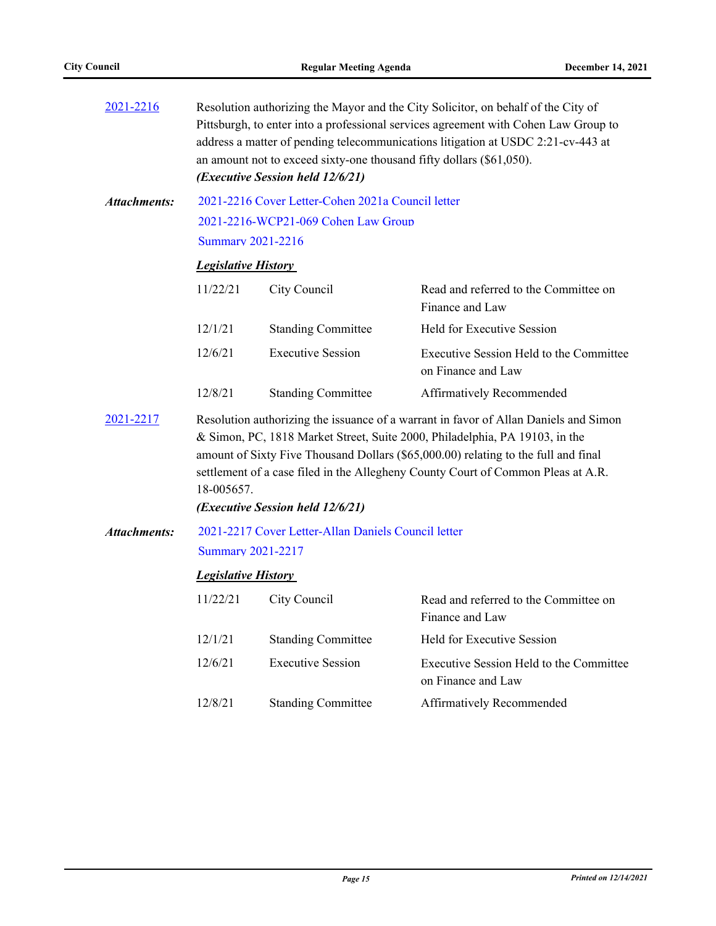| 2021-2216           | Resolution authorizing the Mayor and the City Solicitor, on behalf of the City of<br>Pittsburgh, to enter into a professional services agreement with Cohen Law Group to<br>address a matter of pending telecommunications litigation at USDC 2:21-cv-443 at<br>an amount not to exceed sixty-one thousand fifty dollars (\$61,050).<br>(Executive Session held 12/6/21)                        |                                                   |                                                               |  |  |
|---------------------|-------------------------------------------------------------------------------------------------------------------------------------------------------------------------------------------------------------------------------------------------------------------------------------------------------------------------------------------------------------------------------------------------|---------------------------------------------------|---------------------------------------------------------------|--|--|
| <b>Attachments:</b> |                                                                                                                                                                                                                                                                                                                                                                                                 | 2021-2216 Cover Letter-Cohen 2021a Council letter |                                                               |  |  |
|                     |                                                                                                                                                                                                                                                                                                                                                                                                 | 2021-2216-WCP21-069 Cohen Law Group               |                                                               |  |  |
|                     | Summary 2021-2216                                                                                                                                                                                                                                                                                                                                                                               |                                                   |                                                               |  |  |
|                     | <b>Legislative History</b>                                                                                                                                                                                                                                                                                                                                                                      |                                                   |                                                               |  |  |
|                     | 11/22/21                                                                                                                                                                                                                                                                                                                                                                                        | City Council                                      | Read and referred to the Committee on<br>Finance and Law      |  |  |
|                     | 12/1/21                                                                                                                                                                                                                                                                                                                                                                                         | <b>Standing Committee</b>                         | Held for Executive Session                                    |  |  |
|                     | 12/6/21                                                                                                                                                                                                                                                                                                                                                                                         | <b>Executive Session</b>                          | Executive Session Held to the Committee<br>on Finance and Law |  |  |
|                     | 12/8/21                                                                                                                                                                                                                                                                                                                                                                                         | <b>Standing Committee</b>                         | Affirmatively Recommended                                     |  |  |
| 2021-2217           | Resolution authorizing the issuance of a warrant in favor of Allan Daniels and Simon<br>& Simon, PC, 1818 Market Street, Suite 2000, Philadelphia, PA 19103, in the<br>amount of Sixty Five Thousand Dollars (\$65,000.00) relating to the full and final<br>settlement of a case filed in the Allegheny County Court of Common Pleas at A.R.<br>18-005657.<br>(Executive Session held 12/6/21) |                                                   |                                                               |  |  |
| <b>Attachments:</b> | 2021-2217 Cover Letter-Allan Daniels Council letter                                                                                                                                                                                                                                                                                                                                             |                                                   |                                                               |  |  |
|                     |                                                                                                                                                                                                                                                                                                                                                                                                 | <b>Summary 2021-2217</b>                          |                                                               |  |  |
|                     | <b>Legislative History</b>                                                                                                                                                                                                                                                                                                                                                                      |                                                   |                                                               |  |  |
|                     | 11/22/21                                                                                                                                                                                                                                                                                                                                                                                        | City Council                                      | Read and referred to the Committee on<br>Finance and Law      |  |  |
|                     | 12/1/21                                                                                                                                                                                                                                                                                                                                                                                         | <b>Standing Committee</b>                         | Held for Executive Session                                    |  |  |
|                     | 12/6/21                                                                                                                                                                                                                                                                                                                                                                                         | <b>Executive Session</b>                          | Executive Session Held to the Committee<br>on Finance and Law |  |  |
|                     | 12/8/21                                                                                                                                                                                                                                                                                                                                                                                         | <b>Standing Committee</b>                         | <b>Affirmatively Recommended</b>                              |  |  |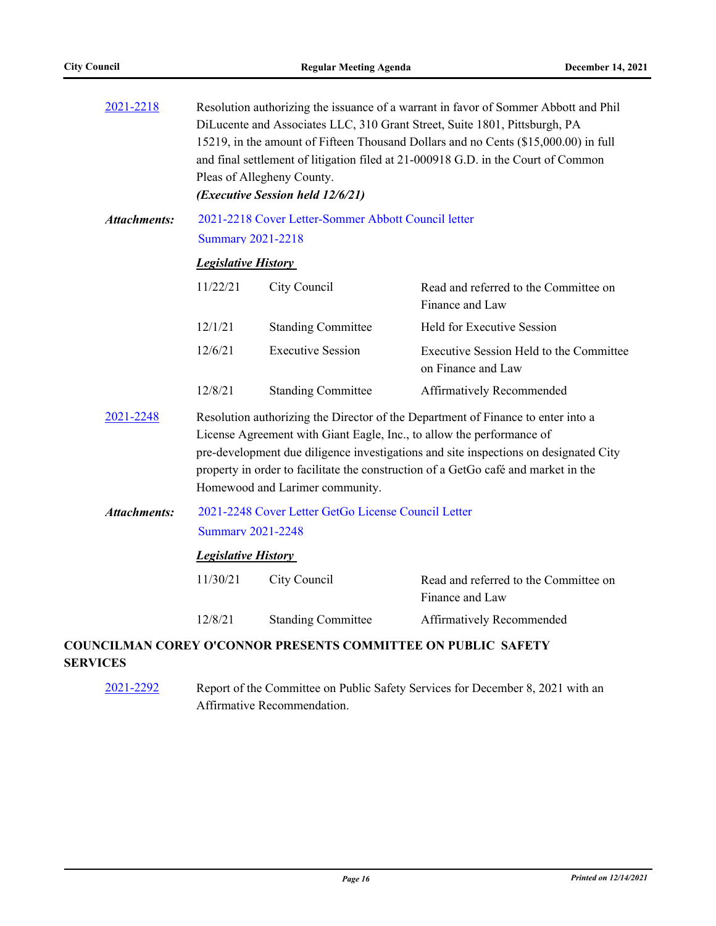| 2021-2218           | Resolution authorizing the issuance of a warrant in favor of Sommer Abbott and Phil<br>DiLucente and Associates LLC, 310 Grant Street, Suite 1801, Pittsburgh, PA<br>15219, in the amount of Fifteen Thousand Dollars and no Cents (\$15,000.00) in full<br>and final settlement of litigation filed at 21-000918 G.D. in the Court of Common<br>Pleas of Allegheny County.<br>(Executive Session held 12/6/21) |                           |                                                                      |  |  |
|---------------------|-----------------------------------------------------------------------------------------------------------------------------------------------------------------------------------------------------------------------------------------------------------------------------------------------------------------------------------------------------------------------------------------------------------------|---------------------------|----------------------------------------------------------------------|--|--|
| <b>Attachments:</b> | 2021-2218 Cover Letter-Sommer Abbott Council letter<br><b>Summary 2021-2218</b>                                                                                                                                                                                                                                                                                                                                 |                           |                                                                      |  |  |
|                     | <b>Legislative History</b>                                                                                                                                                                                                                                                                                                                                                                                      |                           |                                                                      |  |  |
|                     | 11/22/21                                                                                                                                                                                                                                                                                                                                                                                                        | City Council              | Read and referred to the Committee on<br>Finance and Law             |  |  |
|                     | 12/1/21                                                                                                                                                                                                                                                                                                                                                                                                         | <b>Standing Committee</b> | Held for Executive Session                                           |  |  |
|                     | 12/6/21                                                                                                                                                                                                                                                                                                                                                                                                         | <b>Executive Session</b>  | Executive Session Held to the Committee<br>on Finance and Law        |  |  |
|                     | 12/8/21                                                                                                                                                                                                                                                                                                                                                                                                         | <b>Standing Committee</b> | Affirmatively Recommended                                            |  |  |
| 2021-2248           | Resolution authorizing the Director of the Department of Finance to enter into a<br>License Agreement with Giant Eagle, Inc., to allow the performance of<br>pre-development due diligence investigations and site inspections on designated City<br>property in order to facilitate the construction of a GetGo café and market in the<br>Homewood and Larimer community.                                      |                           |                                                                      |  |  |
| <b>Attachments:</b> | 2021-2248 Cover Letter GetGo License Council Letter                                                                                                                                                                                                                                                                                                                                                             |                           |                                                                      |  |  |
|                     | <b>Summary 2021-2248</b>                                                                                                                                                                                                                                                                                                                                                                                        |                           |                                                                      |  |  |
|                     | <b>Legislative History</b>                                                                                                                                                                                                                                                                                                                                                                                      |                           |                                                                      |  |  |
|                     | 11/30/21                                                                                                                                                                                                                                                                                                                                                                                                        | City Council              | Read and referred to the Committee on<br>Finance and Law             |  |  |
|                     | 12/8/21                                                                                                                                                                                                                                                                                                                                                                                                         | <b>Standing Committee</b> | Affirmatively Recommended                                            |  |  |
|                     |                                                                                                                                                                                                                                                                                                                                                                                                                 |                           | <b>COUNCILMAN COREY O'CONNOR PRESENTS COMMITTEE ON PUBLIC SAFETY</b> |  |  |

#### **SERVICES**

[2021-2292](http://pittsburgh.legistar.com/gateway.aspx?m=l&id=/matter.aspx?key=27195) Report of the Committee on Public Safety Services for December 8, 2021 with an Affirmative Recommendation.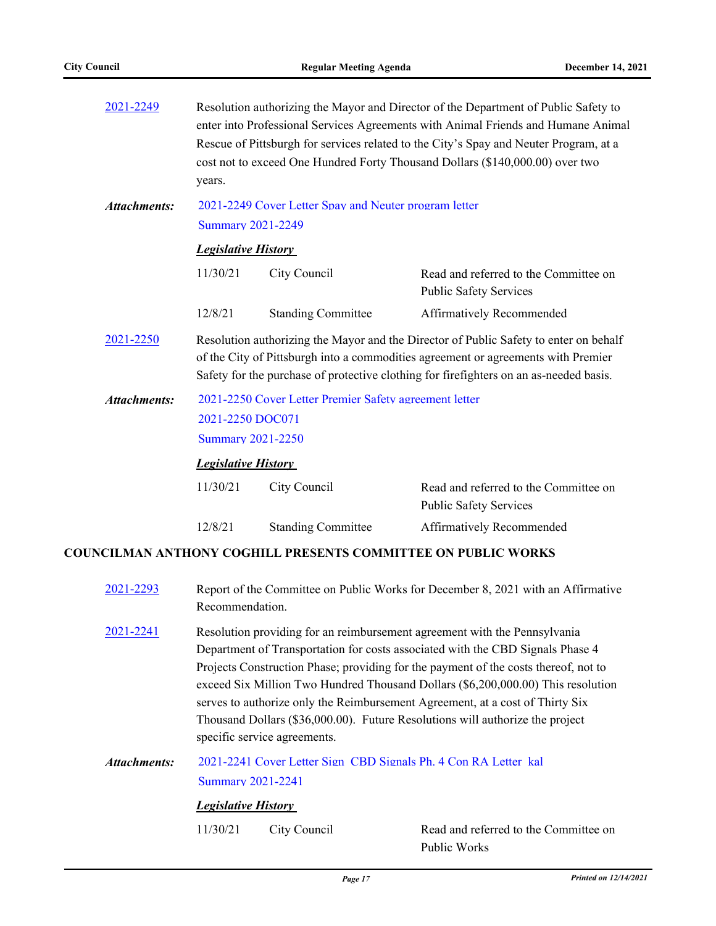| 2021-2249                                                                     | Resolution authorizing the Mayor and Director of the Department of Public Safety to<br>enter into Professional Services Agreements with Animal Friends and Humane Animal<br>Rescue of Pittsburgh for services related to the City's Spay and Neuter Program, at a<br>cost not to exceed One Hundred Forty Thousand Dollars (\$140,000.00) over two<br>years. |                                                       |                                                                        |  |
|-------------------------------------------------------------------------------|--------------------------------------------------------------------------------------------------------------------------------------------------------------------------------------------------------------------------------------------------------------------------------------------------------------------------------------------------------------|-------------------------------------------------------|------------------------------------------------------------------------|--|
| Attachments:                                                                  |                                                                                                                                                                                                                                                                                                                                                              | 2021-2249 Cover Letter Spay and Neuter program letter |                                                                        |  |
|                                                                               | <b>Summary 2021-2249</b>                                                                                                                                                                                                                                                                                                                                     |                                                       |                                                                        |  |
|                                                                               | <b>Legislative History</b>                                                                                                                                                                                                                                                                                                                                   |                                                       |                                                                        |  |
|                                                                               | 11/30/21                                                                                                                                                                                                                                                                                                                                                     | City Council                                          | Read and referred to the Committee on<br><b>Public Safety Services</b> |  |
|                                                                               | 12/8/21                                                                                                                                                                                                                                                                                                                                                      | <b>Standing Committee</b>                             | Affirmatively Recommended                                              |  |
| 2021-2250                                                                     | Resolution authorizing the Mayor and the Director of Public Safety to enter on behalf<br>of the City of Pittsburgh into a commodities agreement or agreements with Premier<br>Safety for the purchase of protective clothing for firefighters on an as-needed basis.                                                                                         |                                                       |                                                                        |  |
| 2021-2250 Cover Letter Premier Safety agreement letter<br><b>Attachments:</b> |                                                                                                                                                                                                                                                                                                                                                              |                                                       |                                                                        |  |
|                                                                               | 2021-2250 DOC071                                                                                                                                                                                                                                                                                                                                             |                                                       |                                                                        |  |
|                                                                               | <b>Summary 2021-2250</b>                                                                                                                                                                                                                                                                                                                                     |                                                       |                                                                        |  |
|                                                                               | <b>Legislative History</b>                                                                                                                                                                                                                                                                                                                                   |                                                       |                                                                        |  |
|                                                                               | 11/30/21                                                                                                                                                                                                                                                                                                                                                     | City Council                                          | Read and referred to the Committee on<br><b>Public Safety Services</b> |  |
|                                                                               | 12/8/21                                                                                                                                                                                                                                                                                                                                                      | <b>Standing Committee</b>                             | Affirmatively Recommended                                              |  |

### **COUNCILMAN ANTHONY COGHILL PRESENTS COMMITTEE ON PUBLIC WORKS**

| 2021-2293    | Recommendation.                                        |                              | Report of the Committee on Public Works for December 8, 2021 with an Affirmative                                                                                                                                                                                                                                                                                                                                                                                                                         |
|--------------|--------------------------------------------------------|------------------------------|----------------------------------------------------------------------------------------------------------------------------------------------------------------------------------------------------------------------------------------------------------------------------------------------------------------------------------------------------------------------------------------------------------------------------------------------------------------------------------------------------------|
| 2021-2241    |                                                        | specific service agreements. | Resolution providing for an reimbursement agreement with the Pennsylvania<br>Department of Transportation for costs associated with the CBD Signals Phase 4<br>Projects Construction Phase; providing for the payment of the costs thereof, not to<br>exceed Six Million Two Hundred Thousand Dollars (\$6,200,000.00) This resolution<br>serves to authorize only the Reimbursement Agreement, at a cost of Thirty Six<br>Thousand Dollars (\$36,000.00). Future Resolutions will authorize the project |
| Attachments: | <b>Summary 2021-2241</b><br><b>Legislative History</b> |                              | 2021-2241 Cover Letter Sign CBD Signals Ph. 4 Con RA Letter kal                                                                                                                                                                                                                                                                                                                                                                                                                                          |
|              | 11/30/21                                               | City Council                 | Read and referred to the Committee on                                                                                                                                                                                                                                                                                                                                                                                                                                                                    |

Public Works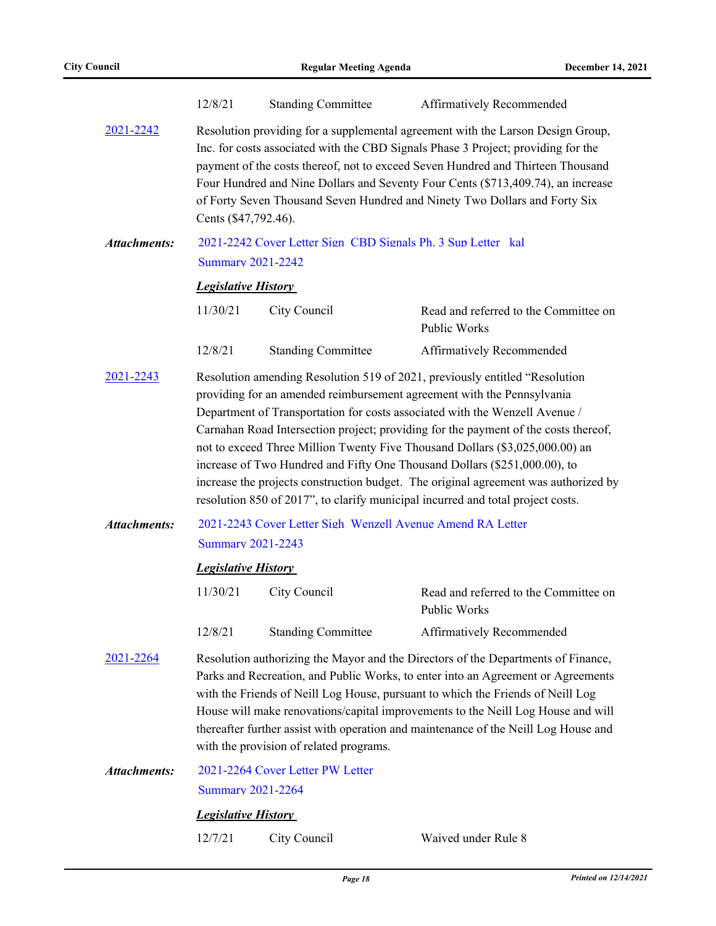|                     | 12/8/21                                                                                                                                                                                                                                                                                                                                                                                                                                                                                                                                                                                                                                                            | <b>Standing Committee</b>                                    | Affirmatively Recommended                             |  |  |
|---------------------|--------------------------------------------------------------------------------------------------------------------------------------------------------------------------------------------------------------------------------------------------------------------------------------------------------------------------------------------------------------------------------------------------------------------------------------------------------------------------------------------------------------------------------------------------------------------------------------------------------------------------------------------------------------------|--------------------------------------------------------------|-------------------------------------------------------|--|--|
| 2021-2242           | Resolution providing for a supplemental agreement with the Larson Design Group,<br>Inc. for costs associated with the CBD Signals Phase 3 Project; providing for the<br>payment of the costs thereof, not to exceed Seven Hundred and Thirteen Thousand<br>Four Hundred and Nine Dollars and Seventy Four Cents (\$713,409.74), an increase<br>of Forty Seven Thousand Seven Hundred and Ninety Two Dollars and Forty Six<br>Cents (\$47,792.46).                                                                                                                                                                                                                  |                                                              |                                                       |  |  |
| <b>Attachments:</b> |                                                                                                                                                                                                                                                                                                                                                                                                                                                                                                                                                                                                                                                                    | 2021-2242 Cover Letter Sign CBD Signals Ph. 3 Sup Letter kal |                                                       |  |  |
|                     | <b>Summary 2021-2242</b>                                                                                                                                                                                                                                                                                                                                                                                                                                                                                                                                                                                                                                           |                                                              |                                                       |  |  |
|                     | <b>Legislative History</b>                                                                                                                                                                                                                                                                                                                                                                                                                                                                                                                                                                                                                                         |                                                              |                                                       |  |  |
|                     | 11/30/21                                                                                                                                                                                                                                                                                                                                                                                                                                                                                                                                                                                                                                                           | City Council                                                 | Read and referred to the Committee on<br>Public Works |  |  |
|                     | 12/8/21                                                                                                                                                                                                                                                                                                                                                                                                                                                                                                                                                                                                                                                            | <b>Standing Committee</b>                                    | Affirmatively Recommended                             |  |  |
| 2021-2243           | Resolution amending Resolution 519 of 2021, previously entitled "Resolution<br>providing for an amended reimbursement agreement with the Pennsylvania<br>Department of Transportation for costs associated with the Wenzell Avenue /<br>Carnahan Road Intersection project; providing for the payment of the costs thereof,<br>not to exceed Three Million Twenty Five Thousand Dollars (\$3,025,000.00) an<br>increase of Two Hundred and Fifty One Thousand Dollars (\$251,000.00), to<br>increase the projects construction budget. The original agreement was authorized by<br>resolution 850 of 2017", to clarify municipal incurred and total project costs. |                                                              |                                                       |  |  |
| <b>Attachments:</b> | 2021-2243 Cover Letter Sigh Wenzell Avenue Amend RA Letter                                                                                                                                                                                                                                                                                                                                                                                                                                                                                                                                                                                                         |                                                              |                                                       |  |  |
|                     | <b>Summary 2021-2243</b>                                                                                                                                                                                                                                                                                                                                                                                                                                                                                                                                                                                                                                           |                                                              |                                                       |  |  |
|                     | <b>Legislative History</b>                                                                                                                                                                                                                                                                                                                                                                                                                                                                                                                                                                                                                                         |                                                              |                                                       |  |  |
|                     | 11/30/21                                                                                                                                                                                                                                                                                                                                                                                                                                                                                                                                                                                                                                                           | City Council                                                 | Read and referred to the Committee on<br>Public Works |  |  |
|                     | 12/8/21                                                                                                                                                                                                                                                                                                                                                                                                                                                                                                                                                                                                                                                            | <b>Standing Committee</b>                                    | Affirmatively Recommended                             |  |  |
| 2021-2264           | Resolution authorizing the Mayor and the Directors of the Departments of Finance,<br>Parks and Recreation, and Public Works, to enter into an Agreement or Agreements<br>with the Friends of Neill Log House, pursuant to which the Friends of Neill Log<br>House will make renovations/capital improvements to the Neill Log House and will<br>thereafter further assist with operation and maintenance of the Neill Log House and<br>with the provision of related programs.                                                                                                                                                                                     |                                                              |                                                       |  |  |
| <b>Attachments:</b> |                                                                                                                                                                                                                                                                                                                                                                                                                                                                                                                                                                                                                                                                    | 2021-2264 Cover Letter PW Letter                             |                                                       |  |  |
|                     | <b>Summary 2021-2264</b>                                                                                                                                                                                                                                                                                                                                                                                                                                                                                                                                                                                                                                           |                                                              |                                                       |  |  |
|                     | <b>Legislative History</b>                                                                                                                                                                                                                                                                                                                                                                                                                                                                                                                                                                                                                                         |                                                              |                                                       |  |  |
|                     | 12/7/21                                                                                                                                                                                                                                                                                                                                                                                                                                                                                                                                                                                                                                                            | City Council                                                 | Waived under Rule 8                                   |  |  |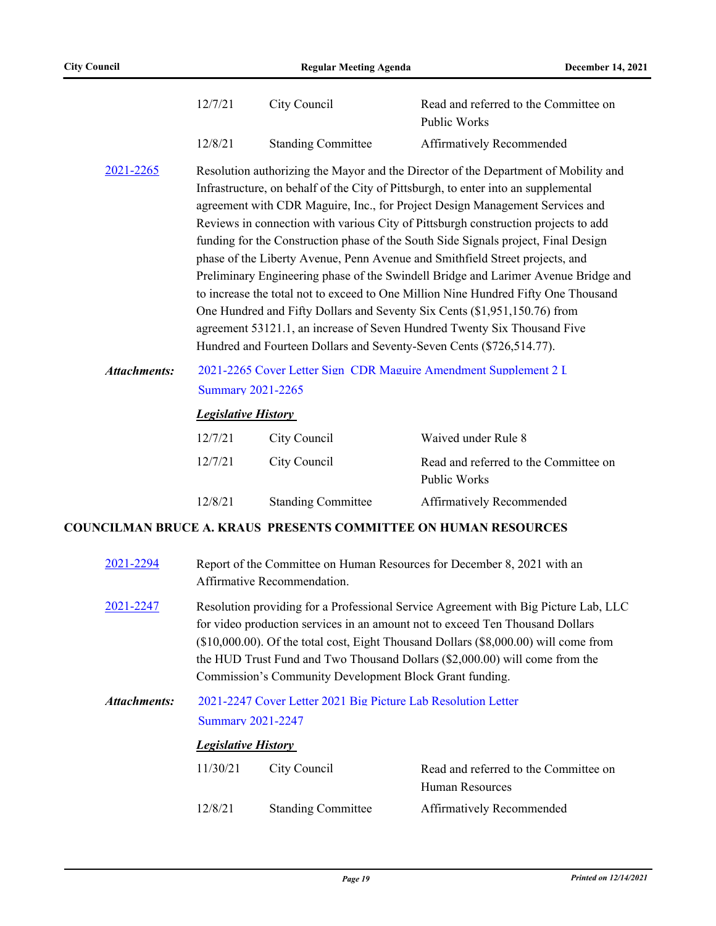|                     | 12/7/21                                                                                      | City Council                                                         | Read and referred to the Committee on<br>Public Works                                                                                                                                                                                                                                                                                                                                                                                                                                                                                                                                                                                                                                                                                                                                                                                                      |
|---------------------|----------------------------------------------------------------------------------------------|----------------------------------------------------------------------|------------------------------------------------------------------------------------------------------------------------------------------------------------------------------------------------------------------------------------------------------------------------------------------------------------------------------------------------------------------------------------------------------------------------------------------------------------------------------------------------------------------------------------------------------------------------------------------------------------------------------------------------------------------------------------------------------------------------------------------------------------------------------------------------------------------------------------------------------------|
|                     | 12/8/21                                                                                      | <b>Standing Committee</b>                                            | Affirmatively Recommended                                                                                                                                                                                                                                                                                                                                                                                                                                                                                                                                                                                                                                                                                                                                                                                                                                  |
| 2021-2265           |                                                                                              | Hundred and Fourteen Dollars and Seventy-Seven Cents (\$726,514.77). | Resolution authorizing the Mayor and the Director of the Department of Mobility and<br>Infrastructure, on behalf of the City of Pittsburgh, to enter into an supplemental<br>agreement with CDR Maguire, Inc., for Project Design Management Services and<br>Reviews in connection with various City of Pittsburgh construction projects to add<br>funding for the Construction phase of the South Side Signals project, Final Design<br>phase of the Liberty Avenue, Penn Avenue and Smithfield Street projects, and<br>Preliminary Engineering phase of the Swindell Bridge and Larimer Avenue Bridge and<br>to increase the total not to exceed to One Million Nine Hundred Fifty One Thousand<br>One Hundred and Fifty Dollars and Seventy Six Cents (\$1,951,150.76) from<br>agreement 53121.1, an increase of Seven Hundred Twenty Six Thousand Five |
| <b>Attachments:</b> | 2021-2265 Cover Letter Sign CDR Maguire Amendment Supplement 2 I<br><b>Summary 2021-2265</b> |                                                                      |                                                                                                                                                                                                                                                                                                                                                                                                                                                                                                                                                                                                                                                                                                                                                                                                                                                            |
|                     | <b>Legislative History</b>                                                                   |                                                                      |                                                                                                                                                                                                                                                                                                                                                                                                                                                                                                                                                                                                                                                                                                                                                                                                                                                            |
|                     | 12/7/21                                                                                      | City Council                                                         | Waived under Rule 8                                                                                                                                                                                                                                                                                                                                                                                                                                                                                                                                                                                                                                                                                                                                                                                                                                        |
|                     | 12/7/21                                                                                      | City Council                                                         | Read and referred to the Committee on<br>Public Works                                                                                                                                                                                                                                                                                                                                                                                                                                                                                                                                                                                                                                                                                                                                                                                                      |
|                     | 12/8/21                                                                                      | <b>Standing Committee</b>                                            | Affirmatively Recommended                                                                                                                                                                                                                                                                                                                                                                                                                                                                                                                                                                                                                                                                                                                                                                                                                                  |
|                     |                                                                                              |                                                                      | <b>COUNCILMAN BRUCE A. KRAUS PRESENTS COMMITTEE ON HUMAN RESOURCES</b>                                                                                                                                                                                                                                                                                                                                                                                                                                                                                                                                                                                                                                                                                                                                                                                     |
| 2021-2294           |                                                                                              |                                                                      | Report of the Committee on Human Resources for December 8, 2021 with an                                                                                                                                                                                                                                                                                                                                                                                                                                                                                                                                                                                                                                                                                                                                                                                    |

|           | Affirmative Recommendation.                                                               |
|-----------|-------------------------------------------------------------------------------------------|
| 2021-2247 | Resolution providing for a Professional Service Agreement with Big Picture Lab, LLC       |
|           | for video production services in an amount not to exceed Ten Thousand Dollars             |
|           | $(\$10,000.00)$ . Of the total cost, Eight Thousand Dollars $(\$8,000.00)$ will come from |
|           | the HUD Trust Fund and Two Thousand Dollars (\$2,000.00) will come from the               |
|           | Commission's Community Development Block Grant funding.                                   |

#### [2021-2247 Cover Letter 2021 Big Picture Lab Resolution Letter](http://pittsburgh.legistar.com/gateway.aspx?M=F&ID=e6d3729b-b27b-4659-8bac-00932b9c02b1.doc) [Summary 2021-2247](http://pittsburgh.legistar.com/gateway.aspx?M=F&ID=bac959bc-e605-4d0e-83db-804609b5c70b.docx) *Attachments:*

## *Legislative History*

| 11/30/21 | City Council |                           | Read and referred to the Committee on |
|----------|--------------|---------------------------|---------------------------------------|
|          |              |                           | Human Resources                       |
| 12/8/21  |              | <b>Standing Committee</b> | <b>Affirmatively Recommended</b>      |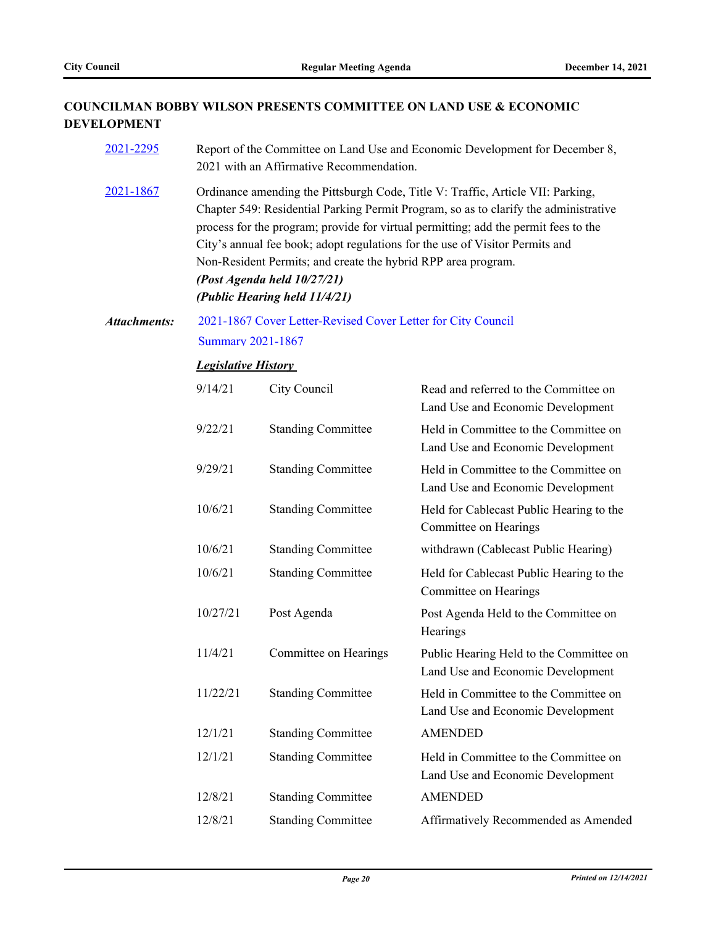[2021-2295](http://pittsburgh.legistar.com/gateway.aspx?m=l&id=/matter.aspx?key=27198) Report of the Committee on Land Use and Economic Development for December 8,

## **COUNCILMAN BOBBY WILSON PRESENTS COMMITTEE ON LAND USE & ECONOMIC DEVELOPMENT**

|                     |                            | 2021 with an Affirmative Recommendation.                                                                                                                                                                                                                                                                                                                                                                                                                                        |                                                                              |  |  |  |
|---------------------|----------------------------|---------------------------------------------------------------------------------------------------------------------------------------------------------------------------------------------------------------------------------------------------------------------------------------------------------------------------------------------------------------------------------------------------------------------------------------------------------------------------------|------------------------------------------------------------------------------|--|--|--|
| 2021-1867           |                            | Ordinance amending the Pittsburgh Code, Title V: Traffic, Article VII: Parking,<br>Chapter 549: Residential Parking Permit Program, so as to clarify the administrative<br>process for the program; provide for virtual permitting; add the permit fees to the<br>City's annual fee book; adopt regulations for the use of Visitor Permits and<br>Non-Resident Permits; and create the hybrid RPP area program.<br>(Post Agenda held 10/27/21)<br>(Public Hearing held 11/4/21) |                                                                              |  |  |  |
| <b>Attachments:</b> |                            | 2021-1867 Cover Letter-Revised Cover Letter for City Council                                                                                                                                                                                                                                                                                                                                                                                                                    |                                                                              |  |  |  |
|                     | <b>Summary 2021-1867</b>   |                                                                                                                                                                                                                                                                                                                                                                                                                                                                                 |                                                                              |  |  |  |
|                     | <b>Legislative History</b> |                                                                                                                                                                                                                                                                                                                                                                                                                                                                                 |                                                                              |  |  |  |
|                     | 9/14/21                    | City Council                                                                                                                                                                                                                                                                                                                                                                                                                                                                    | Read and referred to the Committee on<br>Land Use and Economic Development   |  |  |  |
|                     | 9/22/21                    | <b>Standing Committee</b>                                                                                                                                                                                                                                                                                                                                                                                                                                                       | Held in Committee to the Committee on<br>Land Use and Economic Development   |  |  |  |
|                     | 9/29/21                    | <b>Standing Committee</b>                                                                                                                                                                                                                                                                                                                                                                                                                                                       | Held in Committee to the Committee on<br>Land Use and Economic Development   |  |  |  |
|                     | 10/6/21                    | <b>Standing Committee</b>                                                                                                                                                                                                                                                                                                                                                                                                                                                       | Held for Cablecast Public Hearing to the<br>Committee on Hearings            |  |  |  |
|                     | 10/6/21                    | <b>Standing Committee</b>                                                                                                                                                                                                                                                                                                                                                                                                                                                       | withdrawn (Cablecast Public Hearing)                                         |  |  |  |
|                     | 10/6/21                    | <b>Standing Committee</b>                                                                                                                                                                                                                                                                                                                                                                                                                                                       | Held for Cablecast Public Hearing to the<br>Committee on Hearings            |  |  |  |
|                     | 10/27/21                   | Post Agenda                                                                                                                                                                                                                                                                                                                                                                                                                                                                     | Post Agenda Held to the Committee on<br>Hearings                             |  |  |  |
|                     | 11/4/21                    | Committee on Hearings                                                                                                                                                                                                                                                                                                                                                                                                                                                           | Public Hearing Held to the Committee on<br>Land Use and Economic Development |  |  |  |
|                     | 11/22/21                   | <b>Standing Committee</b>                                                                                                                                                                                                                                                                                                                                                                                                                                                       | Held in Committee to the Committee on<br>Land Use and Economic Development   |  |  |  |
|                     | 12/1/21                    | <b>Standing Committee</b>                                                                                                                                                                                                                                                                                                                                                                                                                                                       | <b>AMENDED</b>                                                               |  |  |  |
|                     | 12/1/21                    | <b>Standing Committee</b>                                                                                                                                                                                                                                                                                                                                                                                                                                                       | Held in Committee to the Committee on<br>Land Use and Economic Development   |  |  |  |
|                     | 12/8/21                    | <b>Standing Committee</b>                                                                                                                                                                                                                                                                                                                                                                                                                                                       | <b>AMENDED</b>                                                               |  |  |  |
|                     | 12/8/21                    | <b>Standing Committee</b>                                                                                                                                                                                                                                                                                                                                                                                                                                                       | Affirmatively Recommended as Amended                                         |  |  |  |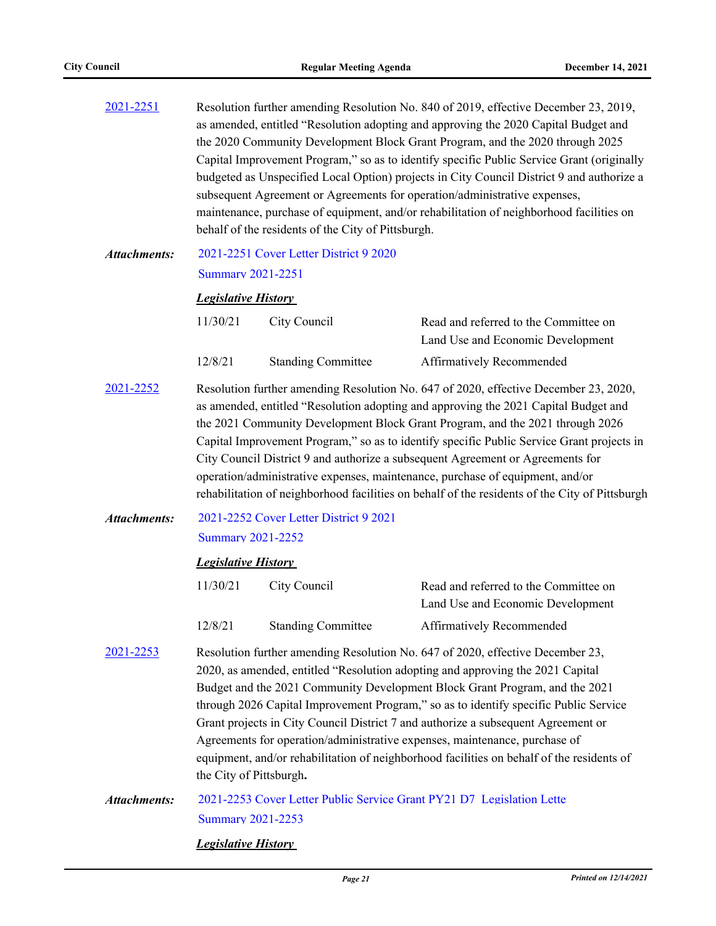| 2021-2251           | Resolution further amending Resolution No. 840 of 2019, effective December 23, 2019,<br>as amended, entitled "Resolution adopting and approving the 2020 Capital Budget and<br>the 2020 Community Development Block Grant Program, and the 2020 through 2025<br>Capital Improvement Program," so as to identify specific Public Service Grant (originally<br>budgeted as Unspecified Local Option) projects in City Council District 9 and authorize a<br>subsequent Agreement or Agreements for operation/administrative expenses,<br>maintenance, purchase of equipment, and/or rehabilitation of neighborhood facilities on<br>behalf of the residents of the City of Pittsburgh. |                                        |                                                                            |  |
|---------------------|--------------------------------------------------------------------------------------------------------------------------------------------------------------------------------------------------------------------------------------------------------------------------------------------------------------------------------------------------------------------------------------------------------------------------------------------------------------------------------------------------------------------------------------------------------------------------------------------------------------------------------------------------------------------------------------|----------------------------------------|----------------------------------------------------------------------------|--|
| <b>Attachments:</b> | <b>Summary 2021-2251</b>                                                                                                                                                                                                                                                                                                                                                                                                                                                                                                                                                                                                                                                             | 2021-2251 Cover Letter District 9 2020 |                                                                            |  |
|                     | <b>Legislative History</b>                                                                                                                                                                                                                                                                                                                                                                                                                                                                                                                                                                                                                                                           |                                        |                                                                            |  |
|                     | 11/30/21                                                                                                                                                                                                                                                                                                                                                                                                                                                                                                                                                                                                                                                                             | City Council                           | Read and referred to the Committee on<br>Land Use and Economic Development |  |
|                     | 12/8/21                                                                                                                                                                                                                                                                                                                                                                                                                                                                                                                                                                                                                                                                              | <b>Standing Committee</b>              | Affirmatively Recommended                                                  |  |
| 2021-2252           | Resolution further amending Resolution No. 647 of 2020, effective December 23, 2020,<br>as amended, entitled "Resolution adopting and approving the 2021 Capital Budget and<br>the 2021 Community Development Block Grant Program, and the 2021 through 2026<br>Capital Improvement Program," so as to identify specific Public Service Grant projects in<br>City Council District 9 and authorize a subsequent Agreement or Agreements for<br>operation/administrative expenses, maintenance, purchase of equipment, and/or<br>rehabilitation of neighborhood facilities on behalf of the residents of the City of Pittsburgh                                                       |                                        |                                                                            |  |
| <b>Attachments:</b> |                                                                                                                                                                                                                                                                                                                                                                                                                                                                                                                                                                                                                                                                                      | 2021-2252 Cover Letter District 9 2021 |                                                                            |  |
|                     | <b>Summary 2021-2252</b>                                                                                                                                                                                                                                                                                                                                                                                                                                                                                                                                                                                                                                                             |                                        |                                                                            |  |
|                     | <b>Legislative History</b>                                                                                                                                                                                                                                                                                                                                                                                                                                                                                                                                                                                                                                                           |                                        |                                                                            |  |
|                     | 11/30/21                                                                                                                                                                                                                                                                                                                                                                                                                                                                                                                                                                                                                                                                             | City Council                           | Read and referred to the Committee on<br>Land Use and Economic Development |  |
|                     | 12/8/21                                                                                                                                                                                                                                                                                                                                                                                                                                                                                                                                                                                                                                                                              | <b>Standing Committee</b>              | Affirmatively Recommended                                                  |  |
| 2021-2253           | Resolution further amending Resolution No. 647 of 2020, effective December 23,<br>2020, as amended, entitled "Resolution adopting and approving the 2021 Capital<br>Budget and the 2021 Community Development Block Grant Program, and the 2021<br>through 2026 Capital Improvement Program," so as to identify specific Public Service<br>Grant projects in City Council District 7 and authorize a subsequent Agreement or<br>Agreements for operation/administrative expenses, maintenance, purchase of<br>equipment, and/or rehabilitation of neighborhood facilities on behalf of the residents of<br>the City of Pittsburgh.                                                   |                                        |                                                                            |  |
| <b>Attachments:</b> | 2021-2253 Cover Letter Public Service Grant PY21 D7 Legislation Lette<br><b>Summary 2021-2253</b>                                                                                                                                                                                                                                                                                                                                                                                                                                                                                                                                                                                    |                                        |                                                                            |  |

## *Legislative History*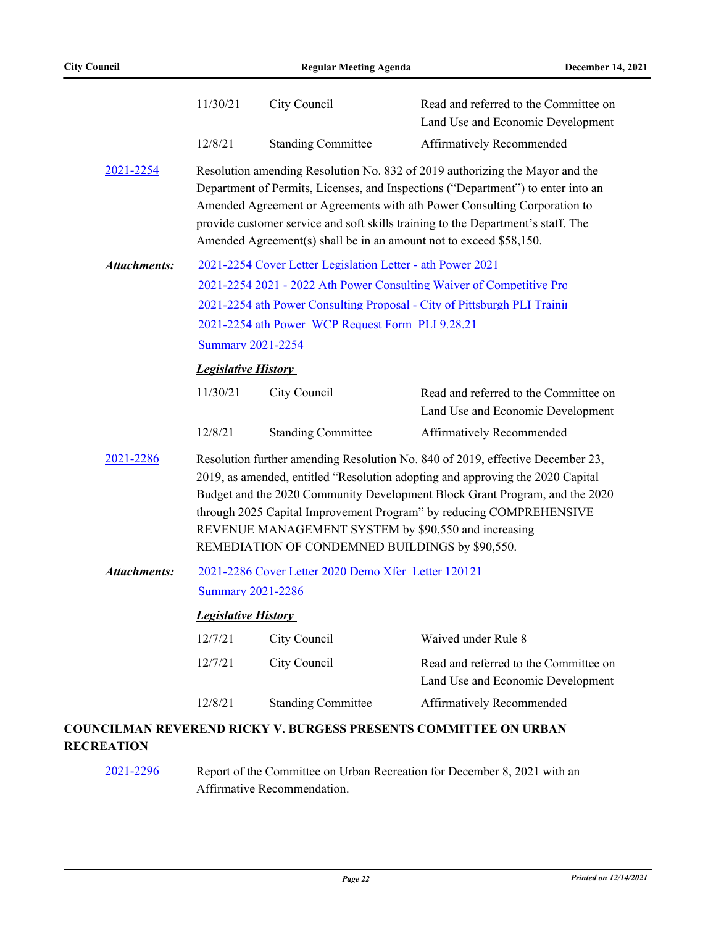|                     | 11/30/21                                                                                                                                                                                                                                                                                                                                                                                                                          | City Council                                                       | Read and referred to the Committee on<br>Land Use and Economic Development                                                                                                                                                                                                                                                       |
|---------------------|-----------------------------------------------------------------------------------------------------------------------------------------------------------------------------------------------------------------------------------------------------------------------------------------------------------------------------------------------------------------------------------------------------------------------------------|--------------------------------------------------------------------|----------------------------------------------------------------------------------------------------------------------------------------------------------------------------------------------------------------------------------------------------------------------------------------------------------------------------------|
|                     | 12/8/21                                                                                                                                                                                                                                                                                                                                                                                                                           | <b>Standing Committee</b>                                          | Affirmatively Recommended                                                                                                                                                                                                                                                                                                        |
| 2021-2254           |                                                                                                                                                                                                                                                                                                                                                                                                                                   | Amended Agreement(s) shall be in an amount not to exceed \$58,150. | Resolution amending Resolution No. 832 of 2019 authorizing the Mayor and the<br>Department of Permits, Licenses, and Inspections ("Department") to enter into an<br>Amended Agreement or Agreements with ath Power Consulting Corporation to<br>provide customer service and soft skills training to the Department's staff. The |
| <b>Attachments:</b> | 2021-2254 Cover Letter Legislation Letter - ath Power 2021<br>2021-2254 2021 - 2022 Ath Power Consulting Waiver of Competitive Prc<br>2021-2254 ath Power Consulting Proposal - City of Pittsburgh PLI Training<br>2021-2254 ath Power WCP Request Form PLI 9.28.21<br><b>Summary 2021-2254</b>                                                                                                                                   |                                                                    |                                                                                                                                                                                                                                                                                                                                  |
|                     | <b>Legislative History</b>                                                                                                                                                                                                                                                                                                                                                                                                        |                                                                    |                                                                                                                                                                                                                                                                                                                                  |
|                     | 11/30/21                                                                                                                                                                                                                                                                                                                                                                                                                          | City Council                                                       | Read and referred to the Committee on<br>Land Use and Economic Development                                                                                                                                                                                                                                                       |
|                     | 12/8/21                                                                                                                                                                                                                                                                                                                                                                                                                           | <b>Standing Committee</b>                                          | Affirmatively Recommended                                                                                                                                                                                                                                                                                                        |
| 2021-2286           | Resolution further amending Resolution No. 840 of 2019, effective December 23,<br>2019, as amended, entitled "Resolution adopting and approving the 2020 Capital<br>Budget and the 2020 Community Development Block Grant Program, and the 2020<br>through 2025 Capital Improvement Program" by reducing COMPREHENSIVE<br>REVENUE MANAGEMENT SYSTEM by \$90,550 and increasing<br>REMEDIATION OF CONDEMNED BUILDINGS by \$90,550. |                                                                    |                                                                                                                                                                                                                                                                                                                                  |
| <b>Attachments:</b> |                                                                                                                                                                                                                                                                                                                                                                                                                                   | 2021-2286 Cover Letter 2020 Demo Xfer Letter 120121                |                                                                                                                                                                                                                                                                                                                                  |
|                     | <b>Summary 2021-2286</b>                                                                                                                                                                                                                                                                                                                                                                                                          |                                                                    |                                                                                                                                                                                                                                                                                                                                  |
|                     | <b>Legislative History</b>                                                                                                                                                                                                                                                                                                                                                                                                        |                                                                    |                                                                                                                                                                                                                                                                                                                                  |
|                     | 12/7/21                                                                                                                                                                                                                                                                                                                                                                                                                           | City Council                                                       | Waived under Rule 8                                                                                                                                                                                                                                                                                                              |
|                     | 12/7/21                                                                                                                                                                                                                                                                                                                                                                                                                           | City Council                                                       | Read and referred to the Committee on<br>Land Use and Economic Development                                                                                                                                                                                                                                                       |
|                     | 12/8/21                                                                                                                                                                                                                                                                                                                                                                                                                           | <b>Standing Committee</b>                                          | Affirmatively Recommended                                                                                                                                                                                                                                                                                                        |
|                     |                                                                                                                                                                                                                                                                                                                                                                                                                                   |                                                                    | <b>COUNCILMAN REVEREND RICKY V. BURGESS PRESENTS COMMITTEE ON URBAN</b>                                                                                                                                                                                                                                                          |

#### **RECREATION**

[2021-2296](http://pittsburgh.legistar.com/gateway.aspx?m=l&id=/matter.aspx?key=27199) Report of the Committee on Urban Recreation for December 8, 2021 with an Affirmative Recommendation.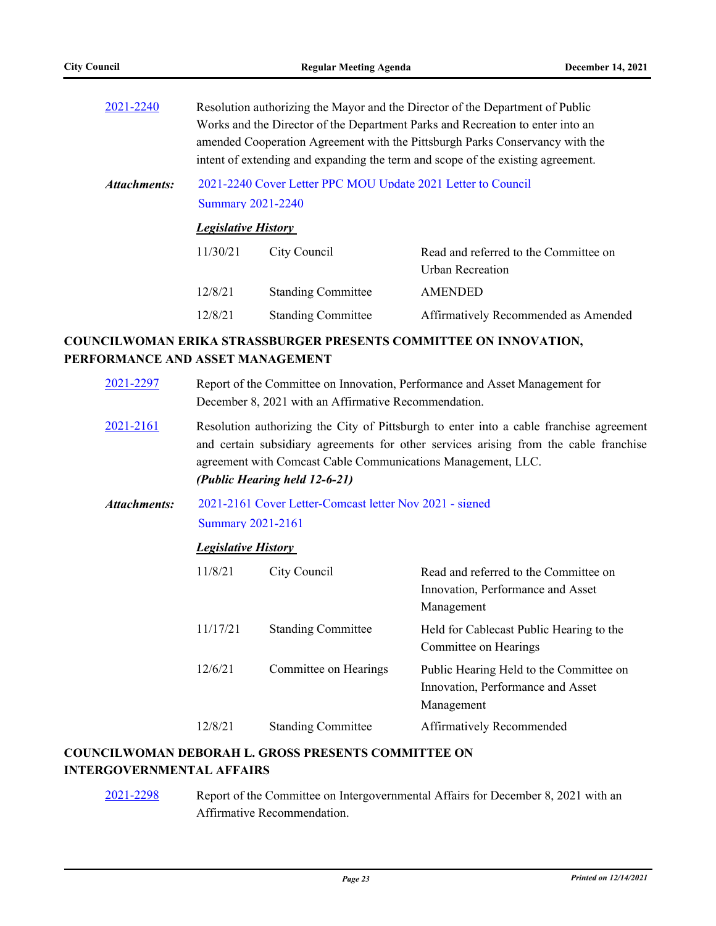| 2021-2240    | Resolution authorizing the Mayor and the Director of the Department of Public<br>Works and the Director of the Department Parks and Recreation to enter into an<br>amended Cooperation Agreement with the Pittsburgh Parks Conservancy with the<br>intent of extending and expanding the term and scope of the existing agreement. |                           |                                       |  |  |  |
|--------------|------------------------------------------------------------------------------------------------------------------------------------------------------------------------------------------------------------------------------------------------------------------------------------------------------------------------------------|---------------------------|---------------------------------------|--|--|--|
| Attachments: | 2021-2240 Cover Letter PPC MOU Update 2021 Letter to Council<br><b>Summary 2021-2240</b>                                                                                                                                                                                                                                           |                           |                                       |  |  |  |
|              | <b>Legislative History</b>                                                                                                                                                                                                                                                                                                         |                           |                                       |  |  |  |
|              | 11/30/21                                                                                                                                                                                                                                                                                                                           | City Council              | Read and referred to the Committee on |  |  |  |
|              |                                                                                                                                                                                                                                                                                                                                    |                           | Urban Recreation                      |  |  |  |
|              | 12/8/21                                                                                                                                                                                                                                                                                                                            | <b>Standing Committee</b> | <b>AMENDED</b>                        |  |  |  |
|              | 12/8/21                                                                                                                                                                                                                                                                                                                            | <b>Standing Committee</b> | Affirmatively Recommended as Amended  |  |  |  |

## **COUNCILWOMAN ERIKA STRASSBURGER PRESENTS COMMITTEE ON INNOVATION, PERFORMANCE AND ASSET MANAGEMENT**

| 2021-2297    | Report of the Committee on Innovation, Performance and Asset Management for<br>December 8, 2021 with an Affirmative Recommendation.                                                                                                                                               |                            |                                                                                            |  |  |  |
|--------------|-----------------------------------------------------------------------------------------------------------------------------------------------------------------------------------------------------------------------------------------------------------------------------------|----------------------------|--------------------------------------------------------------------------------------------|--|--|--|
| 2021-2161    | Resolution authorizing the City of Pittsburgh to enter into a cable franchise agreement<br>and certain subsidiary agreements for other services arising from the cable franchise<br>agreement with Comcast Cable Communications Management, LLC.<br>(Public Hearing held 12-6-21) |                            |                                                                                            |  |  |  |
| Attachments: | 2021-2161 Cover Letter-Comcast letter Nov 2021 - signed<br><b>Summary 2021-2161</b>                                                                                                                                                                                               |                            |                                                                                            |  |  |  |
|              |                                                                                                                                                                                                                                                                                   | <b>Legislative History</b> |                                                                                            |  |  |  |
|              | 11/8/21                                                                                                                                                                                                                                                                           | City Council               | Read and referred to the Committee on<br>Innovation, Performance and Asset<br>Management   |  |  |  |
|              | 11/17/21                                                                                                                                                                                                                                                                          | <b>Standing Committee</b>  | Held for Cablecast Public Hearing to the<br>Committee on Hearings                          |  |  |  |
|              | 12/6/21                                                                                                                                                                                                                                                                           | Committee on Hearings      | Public Hearing Held to the Committee on<br>Innovation, Performance and Asset<br>Management |  |  |  |
|              | 12/8/21                                                                                                                                                                                                                                                                           | <b>Standing Committee</b>  | Affirmatively Recommended                                                                  |  |  |  |
|              |                                                                                                                                                                                                                                                                                   |                            |                                                                                            |  |  |  |

## **COUNCILWOMAN DEBORAH L. GROSS PRESENTS COMMITTEE ON INTERGOVERNMENTAL AFFAIRS**

[2021-2298](http://pittsburgh.legistar.com/gateway.aspx?m=l&id=/matter.aspx?key=27201) Report of the Committee on Intergovernmental Affairs for December 8, 2021 with an Affirmative Recommendation.